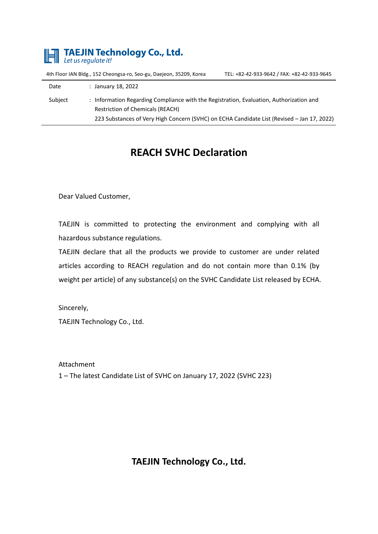

4th Floor IAN Bldg., 152 Cheongsa-ro, Seo-gu, Daejeon, 35209, Korea TEL: +82-42-933-9642 / FAX: +82-42-933-9645

| Date    | : January 18, 2022                                                                                                                 |
|---------|------------------------------------------------------------------------------------------------------------------------------------|
| Subject | : Information Regarding Compliance with the Registration, Evaluation, Authorization and<br><b>Restriction of Chemicals (REACH)</b> |
|         | 223 Substances of Very High Concern (SVHC) on ECHA Candidate List (Revised – Jan 17, 2022)                                         |

## **REACH SVHC Declaration**

Dear Valued Customer,

TAEJIN is committed to protecting the environment and complying with all hazardous substance regulations.

TAEJIN declare that all the products we provide to customer are under related articles according to REACH regulation and do not contain more than 0.1% (by weight per article) of any substance(s) on the SVHC Candidate List released by ECHA.

Sincerely,

TAEJIN Technology Co., Ltd.

Attachment 1 – The latest Candidate List of SVHC on January 17, 2022 (SVHC 223)

**TAEJIN Technology Co., Ltd.**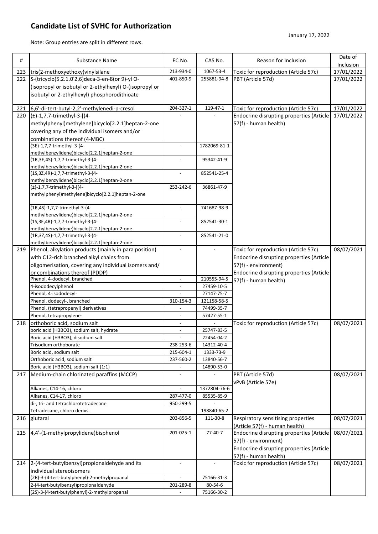## **Candidate List of SVHC for Authorization**

Note: Group entries are split in different rows.

| #   | Substance Name                                                                       | EC No.                   | CAS No.                  | Reason for Inclusion                     | Date of    |
|-----|--------------------------------------------------------------------------------------|--------------------------|--------------------------|------------------------------------------|------------|
|     |                                                                                      |                          |                          |                                          | Inclusion  |
|     | 223 tris(2-methoxyethoxy) vinylsilane                                                | 213-934-0                | 1067-53-4                | Toxic for reproduction (Article 57c)     | 17/01/2022 |
|     | 222 S-(tricyclo(5.2.1.0'2,6)deca-3-en-8(or 9)-yl O-                                  | 401-850-9                | 255881-94-8              | PBT (Article 57d)                        | 17/01/2022 |
|     | (isopropyl or isobutyl or 2-ethylhexyl) O-(isopropyl or                              |                          |                          |                                          |            |
|     | isobutyl or 2-ethylhexyl) phosphorodithioate                                         |                          |                          |                                          |            |
| 221 | 6,6'-di-tert-butyl-2,2'-methylenedi-p-cresol                                         | 204-327-1                | 119-47-1                 | Toxic for reproduction (Article 57c)     | 17/01/2022 |
| 220 | (±)-1,7,7-trimethyl-3-[(4-                                                           |                          |                          | Endocrine disrupting properties (Article | 17/01/2022 |
|     | methylphenyl)methylene]bicyclo[2.2.1]heptan-2-one                                    |                          |                          | 57(f) - human health)                    |            |
|     | covering any of the individual isomers and/or                                        |                          |                          |                                          |            |
|     | combinations thereof (4-MBC)                                                         |                          |                          |                                          |            |
|     | (3E)-1,7,7-trimethyl-3-(4-                                                           | $\overline{\phantom{a}}$ | 1782069-81-1             |                                          |            |
|     | methylbenzylidene)bicyclo[2.2.1]heptan-2-one                                         |                          |                          |                                          |            |
|     | (1R, 3E, 4S) - 1, 7, 7-trimethyl-3-(4-                                               |                          | 95342-41-9               |                                          |            |
|     | methylbenzylidene)bicyclo[2.2.1]heptan-2-one<br>(1S, 3Z, 4R)-1, 7, 7-trimethyl-3-(4- | $\overline{a}$           | 852541-25-4              |                                          |            |
|     | methylbenzylidene)bicyclo[2.2.1]heptan-2-one                                         |                          |                          |                                          |            |
|     | $(\pm)$ -1,7,7-trimethyl-3-[(4-                                                      | 253-242-6                | 36861-47-9               |                                          |            |
|     | methylphenyl)methylene]bicyclo[2.2.1]heptan-2-one                                    |                          |                          |                                          |            |
|     |                                                                                      |                          |                          |                                          |            |
|     | (1R,4S)-1,7,7-trimethyl-3-(4-                                                        | $\overline{\phantom{a}}$ | 741687-98-9              |                                          |            |
|     | methylbenzylidene)bicyclo[2.2.1]heptan-2-one<br>(1S, 3E, 4R)-1, 7, 7-trimethyl-3-(4- | $\overline{a}$           | 852541-30-1              |                                          |            |
|     | methylbenzylidene)bicyclo[2.2.1]heptan-2-one                                         |                          |                          |                                          |            |
|     | (1R, 3Z, 4S) - 1, 7, 7-trimethyl-3-(4-                                               |                          | 852541-21-0              |                                          |            |
|     | methylbenzylidene)bicyclo[2.2.1]heptan-2-one                                         |                          |                          |                                          |            |
| 219 | Phenol, alkylation products (mainly in para position)                                |                          |                          | Toxic for reproduction (Article 57c)     | 08/07/2021 |
|     | with C12-rich branched alkyl chains from                                             |                          |                          | Endocrine disrupting properties (Article |            |
|     | oligomerisation, covering any individual isomers and/                                |                          |                          | 57(f) - environment)                     |            |
|     | or combinations thereof (PDDP)                                                       |                          |                          | Endocrine disrupting properties (Article |            |
|     | Phenol, 4-dodecyl, branched                                                          | $\overline{\phantom{a}}$ | 210555-94-5              | 57(f) - human health)                    |            |
|     | 4-isododecylphenol<br>Phenol, 4-isododecyl-                                          |                          | 27459-10-5<br>27147-75-7 |                                          |            |
|     | Phenol, dodecyl-, branched                                                           | 310-154-3                | 121158-58-5              |                                          |            |
|     | Phenol, (tetrapropenyl) derivatives                                                  |                          | 74499-35-7               |                                          |            |
|     | Phenol, tetrapropylene-                                                              | $\overline{a}$           | 57427-55-1               |                                          |            |
| 218 | orthoboric acid, sodium salt                                                         |                          |                          | Toxic for reproduction (Article 57c)     | 08/07/2021 |
|     | boric acid (H3BO3), sodium salt, hydrate                                             |                          | 25747-83-5               |                                          |            |
|     | Boric acid (H3BO3), disodium salt                                                    |                          | 22454-04-2               |                                          |            |
|     | Trisodium orthoborate                                                                | 238-253-6                | 14312-40-4               |                                          |            |
|     | Boric acid, sodium salt                                                              | 215-604-1                | 1333-73-9                |                                          |            |
|     | Orthoboric acid, sodium salt                                                         | 237-560-2                | 13840-56-7               |                                          |            |
|     | Boric acid (H3BO3), sodium salt (1:1)<br>Medium-chain chlorinated paraffins (MCCP)   | $\overline{\phantom{a}}$ | 14890-53-0               |                                          |            |
| 217 |                                                                                      |                          |                          | PBT (Article 57d)<br>vPvB (Article 57e)  | 08/07/2021 |
|     | Alkanes, C14-16, chloro                                                              | $\overline{\phantom{a}}$ | 1372804-76-6             |                                          |            |
|     | Alkanes, C14-17, chloro                                                              | 287-477-0                | 85535-85-9               |                                          |            |
|     | di-, tri- and tetrachlorotetradecane                                                 | 950-299-5                |                          |                                          |            |
|     | Tetradecane, chloro derivs.                                                          |                          | 198840-65-2              |                                          |            |
| 216 | glutaral                                                                             | 203-856-5                | 111-30-8                 | Respiratory sensitising properties       | 08/07/2021 |
|     |                                                                                      |                          |                          | (Article 57(f) - human health)           |            |
| 215 | 4,4'-(1-methylpropylidene)bisphenol                                                  | 201-025-1                | $77-40-7$                | Endocrine disrupting properties (Article | 08/07/2021 |
|     |                                                                                      |                          |                          | 57(f) - environment)                     |            |
|     |                                                                                      |                          |                          | Endocrine disrupting properties (Article |            |
|     |                                                                                      |                          |                          | 57(f) - human health)                    |            |
| 214 | 2-(4-tert-butylbenzyl)propionaldehyde and its                                        | $\blacksquare$           | $\sim$                   | Toxic for reproduction (Article 57c)     | 08/07/2021 |
|     | individual stereoisomers<br>(2R)-3-(4-tert-butylphenyl)-2-methylpropanal             | $\overline{a}$           | 75166-31-3               |                                          |            |
|     | 2-(4-tert-butylbenzyl)propionaldehyde                                                | 201-289-8                | 80-54-6                  |                                          |            |
|     | (2S)-3-(4-tert-butylphenyl)-2-methylpropanal                                         |                          | 75166-30-2               |                                          |            |
|     |                                                                                      |                          |                          |                                          |            |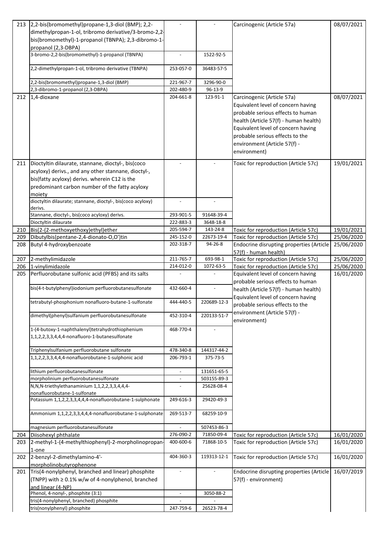|     | 213 2,2-bis(bromomethyl)propane-1,3-diol (BMP); 2,2-                          |                          |             | Carcinogenic (Article 57a)                   | 08/07/2021 |
|-----|-------------------------------------------------------------------------------|--------------------------|-------------|----------------------------------------------|------------|
|     | dimethylpropan-1-ol, tribromo derivative/3-bromo-2,2-                         |                          |             |                                              |            |
|     | bis(bromomethyl)-1-propanol (TBNPA); 2,3-dibromo-1-                           |                          |             |                                              |            |
|     | propanol (2,3-DBPA)                                                           |                          |             |                                              |            |
|     | 3-bromo-2,2-bis(bromomethyl)-1-propanol (TBNPA)                               |                          | 1522-92-5   |                                              |            |
|     | 2,2-dimethylpropan-1-ol, tribromo derivative (TBNPA)                          | 253-057-0                | 36483-57-5  |                                              |            |
|     | 2,2-bis(bromomethyl)propane-1,3-diol (BMP)                                    | 221-967-7                | 3296-90-0   |                                              |            |
|     | 2,3-dibromo-1-propanol (2,3-DBPA)                                             | 202-480-9                | 96-13-9     |                                              |            |
| 212 | 1,4-dioxane                                                                   | 204-661-8                | 123-91-1    | Carcinogenic (Article 57a)                   | 08/07/2021 |
|     |                                                                               |                          |             | Equivalent level of concern having           |            |
|     |                                                                               |                          |             | probable serious effects to human            |            |
|     |                                                                               |                          |             | health (Article 57(f) - human health)        |            |
|     |                                                                               |                          |             | Equivalent level of concern having           |            |
|     |                                                                               |                          |             | probable serious effects to the              |            |
|     |                                                                               |                          |             |                                              |            |
|     |                                                                               |                          |             | environment (Article 57(f) -                 |            |
|     |                                                                               |                          |             | environment)                                 |            |
| 211 | Dioctyltin dilaurate, stannane, dioctyl-, bis(coco                            |                          |             | Toxic for reproduction (Article 57c)         | 19/01/2021 |
|     | acyloxy) derivs., and any other stannane, dioctyl-,                           |                          |             |                                              |            |
|     | bis(fatty acyloxy) derivs. wherein C12 is the                                 |                          |             |                                              |            |
|     | predominant carbon number of the fatty acyloxy                                |                          |             |                                              |            |
|     | moiety                                                                        |                          |             |                                              |            |
|     | dioctyltin dilaurate; stannane, dioctyl-, bis(coco acyloxy)                   | $\overline{\phantom{a}}$ |             |                                              |            |
|     | derivs.                                                                       |                          |             |                                              |            |
|     | Stannane, dioctyl-, bis(coco acyloxy) derivs.                                 | 293-901-5                | 91648-39-4  |                                              |            |
|     | Dioctyltin dilaurate                                                          | 222-883-3                | 3648-18-8   |                                              |            |
| 210 | Bis(2-(2-methoxyethoxy)ethyl)ether                                            | 205-594-7                | 143-24-8    | Toxic for reproduction (Article 57c)         | 19/01/2021 |
| 209 | Dibutylbis(pentane-2,4-dionato-O,O')tin                                       | 245-152-0                | 22673-19-4  | Toxic for reproduction (Article 57c)         | 25/06/2020 |
| 208 | Butyl 4-hydroxybenzoate                                                       | 202-318-7                | 94-26-8     | Endocrine disrupting properties (Article     | 25/06/2020 |
|     |                                                                               |                          |             | 57(f) - human health)                        |            |
| 207 | 2-methylimidazole                                                             | 211-765-7                | 693-98-1    | Toxic for reproduction (Article 57c)         | 25/06/2020 |
|     | 206 1-vinylimidazole                                                          | 214-012-0                | 1072-63-5   | Toxic for reproduction (Article 57c)         | 25/06/2020 |
| 205 | Perfluorobutane sulfonic acid (PFBS) and its salts                            |                          |             | Equivalent level of concern having           | 16/01/2020 |
|     |                                                                               |                          |             | probable serious effects to human            |            |
|     | bis(4-t-butylphenyl)iodonium perfluorobutanesulfonate                         | 432-660-4                |             | health (Article 57(f) - human health)        |            |
|     | tetrabutyl-phosphonium nonafluoro-butane-1-sulfonate                          | 444-440-5                | 220689-12-3 | Equivalent level of concern having           |            |
|     |                                                                               |                          |             | probable serious effects to the              |            |
|     | dimethyl(phenyl)sulfanium perfluorobutanesulfonate                            | 452-310-4                | 220133-51-7 | environment (Article 57(f) -<br>environment) |            |
|     | 1-(4-butoxy-1-naphthalenyl)tetrahydrothiophenium                              | 468-770-4                |             |                                              |            |
|     | 1,1,2,2,3,3,4,4,4-nonafluoro-1-butanesulfonate                                |                          |             |                                              |            |
|     |                                                                               |                          |             |                                              |            |
|     | Triphenylsulfanium perfluorobutane sulfonate                                  | 478-340-8                | 144317-44-2 |                                              |            |
|     | 1,1,2,2,3,3,4,4,4-nonafluorobutane-1-sulphonic acid                           | 206-793-1                | 375-73-5    |                                              |            |
|     |                                                                               |                          |             |                                              |            |
|     | lithium perfluorobutanesulfonate                                              | $\overline{\phantom{a}}$ | 131651-65-5 |                                              |            |
|     | morpholinium perfluorobutanesulfonate                                         | $\overline{\phantom{a}}$ | 503155-89-3 |                                              |            |
|     | N,N,N-triethylethanaminium 1,1,2,2,3,3,4,4,4-<br>nonafluorobutane-1-sulfonate |                          | 25628-08-4  |                                              |            |
|     | Potassium 1,1,2,2,3,3,4,4,4-nonafluorobutane-1-sulphonate                     | 249-616-3                | 29420-49-3  |                                              |            |
|     |                                                                               |                          |             |                                              |            |
|     | Ammonium 1,1,2,2,3,3,4,4,4-nonafluorobutane-1-sulphonate                      | 269-513-7                | 68259-10-9  |                                              |            |
|     |                                                                               |                          |             |                                              |            |
|     | magnesium perfluorobutanesulfonate                                            |                          | 507453-86-3 |                                              |            |
| 204 | Diisohexyl phthalate                                                          | 276-090-2                | 71850-09-4  | Toxic for reproduction (Article 57c)         | 16/01/2020 |
| 203 | 2-methyl-1-(4-methylthiophenyl)-2-morpholinopropan-<br>1-one                  | 400-600-6                | 71868-10-5  | Toxic for reproduction (Article 57c)         | 16/01/2020 |
| 202 | 2-benzyl-2-dimethylamino-4'-                                                  | 404-360-3                | 119313-12-1 | Toxic for reproduction (Article 57c)         | 16/01/2020 |
|     | morpholinobutyrophenone                                                       |                          |             |                                              |            |
| 201 | Tris(4-nonylphenyl, branched and linear) phosphite                            | $\overline{\phantom{a}}$ |             | Endocrine disrupting properties (Article     | 16/07/2019 |
|     | (TNPP) with $\geq 0.1\%$ w/w of 4-nonylphenol, branched                       |                          |             | 57(f) - environment)                         |            |
|     | and linear (4-NP)                                                             |                          |             |                                              |            |
|     | Phenol, 4-nonyl-, phosphite (3:1)                                             | $\overline{\phantom{a}}$ | 3050-88-2   |                                              |            |
|     | tris(4-nonylphenyl, branched) phosphite                                       |                          |             |                                              |            |
|     | tris(nonylphenyl) phosphite                                                   | 247-759-6                | 26523-78-4  |                                              |            |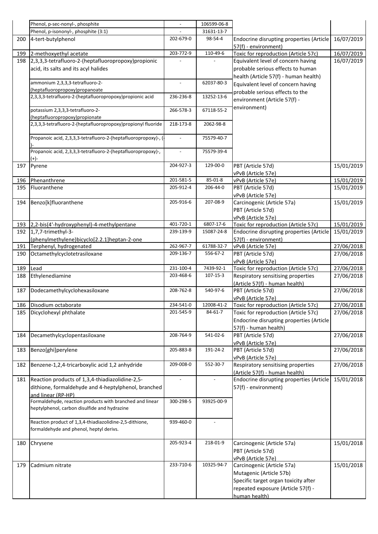|            | Phenol, p-sec-nonyl-, phosphite                                |                          | 106599-06-8    |                                                                      |                          |
|------------|----------------------------------------------------------------|--------------------------|----------------|----------------------------------------------------------------------|--------------------------|
|            | Phenol, p-isononyl-, phosphite (3:1)                           |                          | 31631-13-7     |                                                                      |                          |
| 200        | 4-tert-butylphenol                                             | 202-679-0                | 98-54-4        | Endocrine disrupting properties (Article                             | 16/07/2019               |
|            |                                                                |                          |                | 57(f) - environment)                                                 |                          |
| 199        | 2-methoxyethyl acetate                                         | 203-772-9                | 110-49-6       | Toxic for reproduction (Article 57c)                                 | 16/07/2019               |
| 198        | 2,3,3,3-tetrafluoro-2-(heptafluoropropoxy)propionic            |                          |                | Equivalent level of concern having                                   | 16/07/2019               |
|            | acid, its salts and its acyl halides                           |                          |                | probable serious effects to human                                    |                          |
|            | ammonium 2,3,3,3-tetrafluoro-2-                                | $\overline{\phantom{0}}$ | 62037-80-3     | health (Article 57(f) - human health)                                |                          |
|            | (heptafluoropropoxy)propanoate                                 |                          |                | Equivalent level of concern having                                   |                          |
|            | 2,3,3,3-tetrafluoro-2-(heptafluoropropoxy)propionic acid       | 236-236-8                | 13252-13-6     | probable serious effects to the                                      |                          |
|            |                                                                |                          |                | environment (Article 57(f) -                                         |                          |
|            | potassium 2,3,3,3-tetrafluoro-2-                               | 266-578-3                | 67118-55-2     | environment)                                                         |                          |
|            | (heptafluoropropoxy)propionate                                 |                          |                |                                                                      |                          |
|            | 2,3,3,3-tetrafluoro-2-(heptafluoropropoxy)propionyl fluoride   | 218-173-8                | 2062-98-8      |                                                                      |                          |
|            |                                                                |                          |                |                                                                      |                          |
|            | Propanoic acid, 2,3,3,3-tetrafluoro-2-(heptafluoropropoxy)-, ( |                          | 75579-40-7     |                                                                      |                          |
|            | Propanoic acid, 2,3,3,3-tetrafluoro-2-(heptafluoropropoxy)-,   |                          | 75579-39-4     |                                                                      |                          |
|            | $(+)$                                                          |                          |                |                                                                      |                          |
| 197        | Pyrene                                                         | 204-927-3                | 129-00-0       | PBT (Article 57d)                                                    | 15/01/2019               |
|            |                                                                |                          |                | vPvB (Article 57e)                                                   |                          |
| 196        | Phenanthrene                                                   | 201-581-5                | 85-01-8        | vPvB (Article 57e)                                                   | 15/01/2019               |
| 195        | Fluoranthene                                                   | 205-912-4                | 206-44-0       | PBT (Article 57d)                                                    | 15/01/2019               |
|            |                                                                |                          |                | vPvB (Article 57e)                                                   |                          |
| 194        | Benzo[k]fluoranthene                                           | 205-916-6                | 207-08-9       | Carcinogenic (Article 57a)                                           | 15/01/2019               |
|            |                                                                |                          |                | PBT (Article 57d)                                                    |                          |
|            |                                                                |                          |                | vPvB (Article 57e)                                                   |                          |
|            | 193 2,2-bis(4'-hydroxyphenyl)-4-methylpentane                  | 401-720-1                | 6807-17-6      | Toxic for reproduction (Article 57c)                                 | 15/01/2019               |
| 192        | 1,7,7-trimethyl-3-                                             | 239-139-9                | 15087-24-8     | Endocrine disrupting properties (Article                             | 15/01/2019               |
|            | (phenylmethylene)bicyclo[2.2.1]heptan-2-one                    | 262-967-7                | 61788-32-7     | 57(f) - environment)                                                 |                          |
| 191<br>190 | Terphenyl, hydrogenated<br>Octamethylcyclotetrasiloxane        | 209-136-7                | 556-67-2       | vPvB (Article 57e)<br>PBT (Article 57d)                              | 27/06/2018<br>27/06/2018 |
|            |                                                                |                          |                | vPvB (Article 57e)                                                   |                          |
| 189        | Lead                                                           | 231-100-4                | 7439-92-1      | Toxic for reproduction (Article 57c)                                 | 27/06/2018               |
| 188        | Ethylenediamine                                                | 203-468-6                | $107 - 15 - 3$ | Respiratory sensitising properties                                   | 27/06/2018               |
|            |                                                                |                          |                | (Article 57(f) - human health)                                       |                          |
| 187        | Dodecamethylcyclohexasiloxane                                  | 208-762-8                | 540-97-6       | PBT (Article 57d)                                                    | 27/06/2018               |
|            |                                                                |                          |                | vPvB (Article 57e)                                                   |                          |
|            | 186 Disodium octaborate                                        | 234-541-0                | 12008-41-2     | Toxic for reproduction (Article 57c)                                 | 27/06/2018               |
| 185        | Dicyclohexyl phthalate                                         | 201-545-9                | 84-61-7        | Toxic for reproduction (Article 57c)                                 | 27/06/2018               |
|            |                                                                |                          |                | Endocrine disrupting properties (Article                             |                          |
|            |                                                                |                          |                | 57(f) - human health)                                                |                          |
| 184        | Decamethylcyclopentasiloxane                                   | 208-764-9                | 541-02-6       | PBT (Article 57d)                                                    | 27/06/2018               |
|            |                                                                |                          |                | vPvB (Article 57e)                                                   |                          |
| 183        | Benzo[ghi]perylene                                             | 205-883-8                | 191-24-2       | PBT (Article 57d)                                                    | 27/06/2018               |
|            |                                                                |                          |                | vPvB (Article 57e)                                                   |                          |
| 182        | Benzene-1,2,4-tricarboxylic acid 1,2 anhydride                 | 209-008-0                | 552-30-7       | Respiratory sensitising properties<br>(Article 57(f) - human health) | 27/06/2018               |
| 181        | Reaction products of 1,3,4-thiadiazolidine-2,5-                | $\overline{\phantom{0}}$ |                | Endocrine disrupting properties (Article                             | 15/01/2018               |
|            | dithione, formaldehyde and 4-heptylphenol, branched            |                          |                | 57(f) - environment)                                                 |                          |
|            | and linear (RP-HP)                                             |                          |                |                                                                      |                          |
|            | Formaldehyde, reaction products with branched and linear       | 300-298-5                | 93925-00-9     |                                                                      |                          |
|            | heptylphenol, carbon disulfide and hydrazine                   |                          |                |                                                                      |                          |
|            |                                                                |                          |                |                                                                      |                          |
|            | Reaction product of 1,3,4-thiadiazolidine-2,5-dithione,        | 939-460-0                |                |                                                                      |                          |
|            | formaldehyde and phenol, heptyl derivs.                        |                          |                |                                                                      |                          |
|            |                                                                | 205-923-4                | 218-01-9       |                                                                      | 15/01/2018               |
| 180        | Chrysene                                                       |                          |                | Carcinogenic (Article 57a)                                           |                          |
|            |                                                                |                          |                | PBT (Article 57d)                                                    |                          |
| 179        | Cadmium nitrate                                                | 233-710-6                | 10325-94-7     | vPvB (Article 57e)<br>Carcinogenic (Article 57a)                     | 15/01/2018               |
|            |                                                                |                          |                | Mutagenic (Article 57b)                                              |                          |
|            |                                                                |                          |                | Specific target organ toxicity after                                 |                          |
|            |                                                                |                          |                | repeated exposure (Article 57(f) -                                   |                          |
|            |                                                                |                          |                | human health)                                                        |                          |
|            |                                                                |                          |                |                                                                      |                          |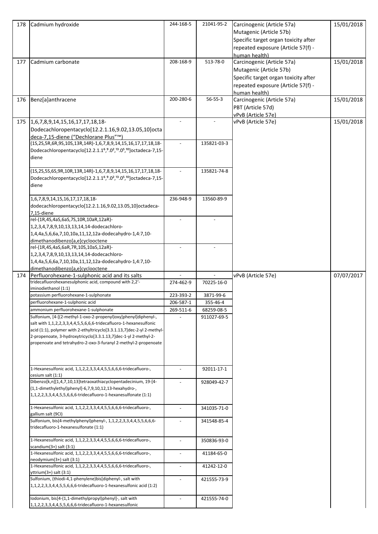| 178 | Cadmium hydroxide                                                                                                                                                                                                                                                                                                                                     | 244-168-5                | 21041-95-2    | Carcinogenic (Article 57a)<br>Mutagenic (Article 57b)<br>Specific target organ toxicity after<br>repeated exposure (Article 57(f) -<br>human health) | 15/01/2018 |
|-----|-------------------------------------------------------------------------------------------------------------------------------------------------------------------------------------------------------------------------------------------------------------------------------------------------------------------------------------------------------|--------------------------|---------------|------------------------------------------------------------------------------------------------------------------------------------------------------|------------|
| 177 | Cadmium carbonate                                                                                                                                                                                                                                                                                                                                     | 208-168-9                | 513-78-0      | Carcinogenic (Article 57a)<br>Mutagenic (Article 57b)<br>Specific target organ toxicity after<br>repeated exposure (Article 57(f) -<br>human health) | 15/01/2018 |
| 176 | Benz[a]anthracene                                                                                                                                                                                                                                                                                                                                     | 200-280-6                | $56 - 55 - 3$ | Carcinogenic (Article 57a)<br>PBT (Article 57d)<br>vPvB (Article 57e)                                                                                | 15/01/2018 |
|     | Dodecachloropentacyclo[12.2.1.16,9.02,13.05,10]octa<br>deca-7,15-diene ("Dechlorane Plus"™)                                                                                                                                                                                                                                                           | $\overline{\phantom{a}}$ |               | vPvB (Article 57e)                                                                                                                                   | 15/01/2018 |
|     | (1S,2S,5R,6R,9S,10S,13R,14R)-1,6,7,8,9,14,15,16,17,17,18,18-<br>Dodecachloropentacyclo[12.2.1.1 <sup>6</sup> , 9.0 <sup>2</sup> , <sup>13</sup> .0 <sup>5</sup> , <sup>10</sup> ] octadeca-7, 15-<br>diene                                                                                                                                            |                          | 135821-03-3   |                                                                                                                                                      |            |
|     | (1S,2S,5S,6S,9R,10R,13R,14R)-1,6,7,8,9,14,15,16,17,17,18,18-<br>Dodecachloropentacyclo[12.2.1.1 <sup>6</sup> , 9.0 <sup>2</sup> , <sup>13</sup> .0 <sup>5</sup> , <sup>10</sup> ] octadeca-7, 15-<br>diene                                                                                                                                            |                          | 135821-74-8   |                                                                                                                                                      |            |
|     | 1,6,7,8,9,14,15,16,17,17,18,18-<br>dodecachloropentacyclo[12.2.1.16,9.02,13.05,10]octadeca-<br>7,15-diene                                                                                                                                                                                                                                             | 236-948-9                | 13560-89-9    |                                                                                                                                                      |            |
|     | rel-(1R,4S,4aS,6aS,7S,10R,10aR,12aR)-<br>1,2,3,4,7,8,9,10,13,13,14,14-dodecachloro-<br>1,4,4a,5,6,6a,7,10,10a,11,12,12a-dodecahydro-1,4:7,10-<br>dimethanodibenzo[a,e]cyclooctene                                                                                                                                                                     |                          |               |                                                                                                                                                      |            |
|     | rel-(1R,4S,4aS,6aR,7R,10S,10aS,12aR)-<br>1,2,3,4,7,8,9,10,13,13,14,14-dodecachloro-<br>1,4,4a,5,6,6a,7,10,10a,11,12,12a-dodecahydro-1,4:7,10-<br>dimethanodibenzo[a,e]cyclooctene                                                                                                                                                                     |                          |               |                                                                                                                                                      |            |
| 174 | Perfluorohexane-1-sulphonic acid and its salts                                                                                                                                                                                                                                                                                                        |                          |               |                                                                                                                                                      |            |
|     |                                                                                                                                                                                                                                                                                                                                                       |                          |               |                                                                                                                                                      |            |
|     | tridecafluorohexanesulphonic acid, compound with 2,2'-                                                                                                                                                                                                                                                                                                | 274-462-9                | 70225-16-0    | vPvB (Article 57e)                                                                                                                                   | 07/07/2017 |
|     | iminodiethanol (1:1)<br>potassium perfluorohexane-1-sulphonate                                                                                                                                                                                                                                                                                        | 223-393-2                | 3871-99-6     |                                                                                                                                                      |            |
|     | perfluorohexane-1-sulphonic acid                                                                                                                                                                                                                                                                                                                      | 206-587-1                | 355-46-4      |                                                                                                                                                      |            |
|     | ammonium perfluorohexane-1-sulphonate                                                                                                                                                                                                                                                                                                                 | 269-511-6                | 68259-08-5    |                                                                                                                                                      |            |
|     | Sulfonium, [4-[(2-methyl-1-oxo-2-propenyl)oxy]phenyl]diphenyl-,<br>salt with 1,1,2,2,3,3,4,4,5,5,6,6,6-tridecafluoro-1-hexanesulfonic<br>acid (1:1), polymer with 2-ethyltricyclo[3.3.1.13,7]dec-2-yl 2-methyl-<br>2-propenoate, 3-hydroxytricyclo[3.3.1.13,7]dec-1-yl 2-methyl-2-<br>propenoate and tetrahydro-2-oxo-3-furanyl 2-methyl-2-propenoate |                          | 911027-69-5   |                                                                                                                                                      |            |
|     | 1-Hexanesulfonic acid, 1,1,2,2,3,3,4,4,5,5,6,6,6-tridecafluoro-,<br>cesium salt (1:1)                                                                                                                                                                                                                                                                 | $\overline{a}$           | 92011-17-1    |                                                                                                                                                      |            |
|     | Dibenzo[k,n][1,4,7,10,13]tetraoxathiacyclopentadecinium, 19-[4-<br>(1,1-dimethylethyl)phenyl]-6,7,9,10,12,13-hexahydro-,<br>1,1,2,2,3,3,4,4,5,5,6,6,6-tridecafluoro-1-hexanesulfonate (1:1)                                                                                                                                                           |                          | 928049-42-7   |                                                                                                                                                      |            |
|     | 1-Hexanesulfonic acid, 1,1,2,2,3,3,4,4,5,5,6,6,6-tridecafluoro-,<br>gallium salt (9CI)                                                                                                                                                                                                                                                                | $\overline{\phantom{a}}$ | 341035-71-0   |                                                                                                                                                      |            |
|     | Sulfonium, bis(4-methylphenyl)phenyl-, 1,1,2,2,3,3,4,4,5,5,6,6,6-<br>tridecafluoro-1-hexanesulfonate (1:1)                                                                                                                                                                                                                                            |                          | 341548-85-4   |                                                                                                                                                      |            |
|     | 1-Hexanesulfonic acid, 1,1,2,2,3,3,4,4,5,5,6,6,6-tridecafluoro-,<br>scandium $(3+)$ salt $(3:1)$                                                                                                                                                                                                                                                      | $\overline{\phantom{a}}$ | 350836-93-0   |                                                                                                                                                      |            |
|     | 1-Hexanesulfonic acid, 1,1,2,2,3,3,4,4,5,5,6,6,6-tridecafluoro-,<br>$neodymium(3+)$ salt $(3:1)$                                                                                                                                                                                                                                                      | $\overline{\phantom{a}}$ | 41184-65-0    |                                                                                                                                                      |            |
|     | 1-Hexanesulfonic acid, 1,1,2,2,3,3,4,4,5,5,6,6,6-tridecafluoro-,<br>$y$ ttrium $(3+)$ salt $(3:1)$                                                                                                                                                                                                                                                    |                          | 41242-12-0    |                                                                                                                                                      |            |
|     | Sulfonium, (thiodi-4,1-phenylene)bis[diphenyl-, salt with<br>1,1,2,2,3,3,4,4,5,5,6,6,6-tridecafluoro-1-hexanesulfonic acid (1:2)                                                                                                                                                                                                                      | $\overline{a}$           | 421555-73-9   |                                                                                                                                                      |            |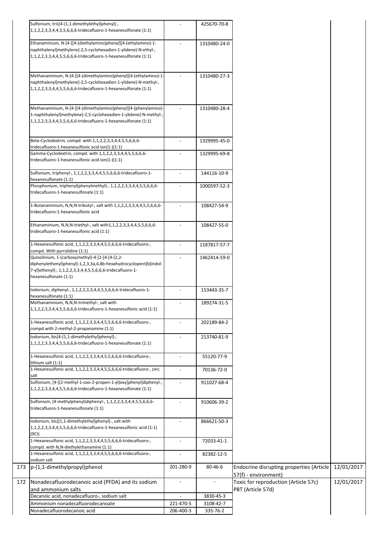| Sulfonium, tris[4-(1,1-dimethylethyl)phenyl]-,<br>1,1,2,2,3,3,4,4,5,5,6,6,6-tridecafluoro-1-hexanesulfonate (1:1)                                                                                           |                          | 425670-70-8  |                                                                  |            |
|-------------------------------------------------------------------------------------------------------------------------------------------------------------------------------------------------------------|--------------------------|--------------|------------------------------------------------------------------|------------|
| Ethanaminium, N-[4-[[4-(diethylamino)phenyl][4-(ethylamino)-1-<br>naphthalenyl]methylene]-2,5-cyclohexadien-1-ylidene]-N-ethyl-,<br>1,1,2,2,3,3,4,4,5,5,6,6,6-tridecafluoro-1-hexanesulfonate (1:1)         | $\overline{a}$           | 1310480-24-0 |                                                                  |            |
| Methanaminium, N-[4-[[4-(dimethylamino)phenyl][4-(ethylamino)-1-<br>naphthalenyl]methylene]-2,5-cyclohexadien-1-ylidene]-N-methyl-,<br>1,1,2,2,3,3,4,4,5,5,6,6,6-tridecafluoro-1-hexanesulfonate (1:1)      | $\overline{a}$           | 1310480-27-3 |                                                                  |            |
| Methanaminium, N-[4-[[4-(dimethylamino)phenyl][4-(phenylamino)-<br>1-naphthalenyl]methylene]-2,5-cyclohexadien-1-ylidene]-N-methyl-,<br>1,1,2,2,3,3,4,4,5,5,6,6,6-tridecafluoro-1-hexanesulfonate (1:1)     | $\overline{\phantom{a}}$ | 1310480-28-4 |                                                                  |            |
| Beta-Cyclodextrin, compd. with 1,1,2,2,3,3,4,4,5,5,6,6,6-<br>tridecafluoro-1-hexanesulfonic acid ion(1-)(1:1)                                                                                               | $\overline{a}$           | 1329995-45-0 |                                                                  |            |
| Gamma-Cyclodextrin, compd. with 1,1,2,2,3,3,4,4,5,5,6,6,6-<br>tridecafluoro-1-hexanesulfonic acid ion(1-)(1:1)                                                                                              | $\overline{a}$           | 1329995-69-8 |                                                                  |            |
| Sulfonium, triphenyl-, 1,1,2,2,3,3,4,4,5,5,6,6,6-tridecafluoro-1-<br>hexanesulfonate (1:1)                                                                                                                  |                          | 144116-10-9  |                                                                  |            |
| Phosphonium, triphenyl(phenylmethyl)-, 1,1,2,2,3,3,4,4,5,5,6,6,6-<br>tridecafluoro-1-hexanesulfonate (1:1)                                                                                                  |                          | 1000597-52-3 |                                                                  |            |
| 1-Butanaminium, N,N,N-tributyl-, salt with 1,1,2,2,3,3,4,4,5,5,6,6,6-<br>tridecafluoro-1-hexanesulfonic acid                                                                                                | $\overline{a}$           | 108427-54-9  |                                                                  |            |
| Ethanaminium, N,N,N-triethyl-, salt with1,1,2,2,3,3,4,4,5,5,6,6,6-<br>tridecafluoro-1-hexanesulfonic acid (1:1)                                                                                             |                          | 108427-55-0  |                                                                  |            |
| 1-Hexanesulfonic acid, 1,1,2,2,3,3,4,4,5,5,6,6,6-tridecafluoro-,<br>compd. With pyrrolidine (1:1)                                                                                                           | $\overline{a}$           | 1187817-57-7 |                                                                  |            |
| Quinolinium, 1-(carboxymethyl)-4-[2-[4-[4-(2,2-<br>diphenylethenyl)phenyl]-1,2,3,3a,4,8b-hexahydrocyclopent[b]indol-<br>7-yl]ethenyl]-, 1,1,2,2,3,3,4,4,5,5,6,6,6-tridecafluoro-1-<br>hexanesulfonate (1:1) |                          | 1462414-59-0 |                                                                  |            |
| Iodonium, diphenyl-, 1,1,2,2,3,3,4,4,5,5,6,6,6-tridecafluoro-1-<br>hexanesulfonate (1:1)                                                                                                                    |                          | 153443-35-7  |                                                                  |            |
| Methanaminium, N,N,N-trimethyl-, salt with<br>1,1,2,2,3,3,4,4,5,5,6,6,6-tridecafluoro-1-hexanesulfonic acid (1:1)                                                                                           |                          | 189274-31-5  |                                                                  |            |
| 1-Hexanesulfonic acid, 1,1,2,2,3,3,4,4,5,5,6,6,6-tridecafluoro-,<br>compd.with 2-methyl-2-propanamine (1:1)                                                                                                 |                          | 202189-84-2  |                                                                  |            |
| Iodonium, bis[4-(1,1-dimethylethyl)phenyl]-,<br>1,1,2,2,3,3,4,4,5,5,6,6,6-tridecafluoro-1-hexanesulfonate (1:1)                                                                                             |                          | 213740-81-9  |                                                                  |            |
| 1-Hexanesulfonic acid, 1,1,2,2,3,3,4,4,5,5,6,6,6-tridecafluoro-,<br>lithium salt (1:1)                                                                                                                      |                          | 55120-77-9   |                                                                  |            |
| 1-Hexanesulfonic acid, 1,1,2,2,3,3,4,4,5,5,6,6,6-tridecafluoro-, zinc<br>salt                                                                                                                               |                          | 70136-72-0   |                                                                  |            |
| Sulfonium, [4-[(2-methyl-1-oxo-2-propen-1-yl)oxy]phenyl]diphenyl-,<br>1,1,2,2,3,3,4,4,5,5,6,6,6-tridecafluoro-1-hexanesulfonate (1:1)                                                                       | $\overline{a}$           | 911027-68-4  |                                                                  |            |
| Sulfonium, (4-methylphenyl)diphenyl-, 1,1,2,2,3,3,4,4,5,5,6,6,6-<br>tridecafluoro-1-hexanesulfonate (1:1)                                                                                                   |                          | 910606-39-2  |                                                                  |            |
| Iodonium, bis[(1,1-dimethylethyl)phenyl]-, salt with<br>1,1,2,2,3,3,4,4,5,5,6,6,6-tridecafluoro-1-hexanesulfonic acid (1:1)<br>(9C1)                                                                        |                          | 866621-50-3  |                                                                  |            |
| 1-Hexanesulfonic acid, 1,1,2,2,3,3,4,4,5,5,6,6,6-tridecafluoro-,<br>compd. with N, N-diethylethanamine (1:1)                                                                                                |                          | 72033-41-1   |                                                                  |            |
| 1-Hexanesulfonic acid, 1,1,2,2,3,3,4,4,5,5,6,6,6-tridecafluoro-,<br>sodium salt                                                                                                                             |                          | 82382-12-5   |                                                                  |            |
| 173 p-(1,1-dimethylpropyl)phenol                                                                                                                                                                            | 201-280-9                | 80-46-6      | Endocrine disrupting properties (Article<br>57(f) - environment) | 12/01/2017 |
| Nonadecafluorodecanoic acid (PFDA) and its sodium<br>172<br>and ammonium salts                                                                                                                              |                          |              | Toxic for reproduction (Article 57c)<br>PBT (Article 57d)        | 12/01/2017 |
| Decanoic acid, nonadecafluoro-, sodium salt                                                                                                                                                                 |                          | 3830-45-3    |                                                                  |            |
| Ammonium nonadecafluorodecanoate                                                                                                                                                                            | 221-470-5                | 3108-42-7    |                                                                  |            |
| Nonadecafluorodecanoic acid                                                                                                                                                                                 | 206-400-3                | 335-76-2     |                                                                  |            |
|                                                                                                                                                                                                             |                          |              |                                                                  |            |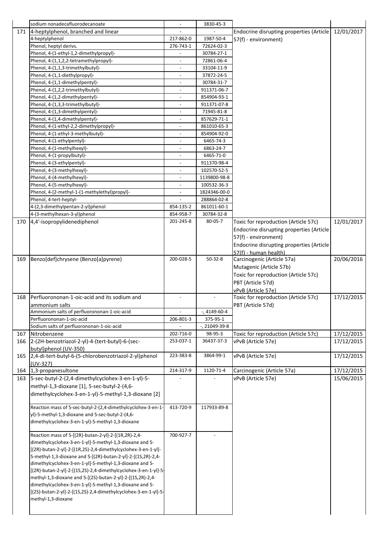|     | sodium nonadecafluorodecanoate                                  |                          | 3830-45-3       |                                                            |            |
|-----|-----------------------------------------------------------------|--------------------------|-----------------|------------------------------------------------------------|------------|
| 171 | 4-heptylphenol, branched and linear                             |                          |                 | Endocrine disrupting properties (Article                   | 12/01/2017 |
|     | 4-heptylphenol                                                  | 217-862-0                | 1987-50-4       | 57(f) - environment)                                       |            |
|     | Phenol, heptyl derivs.                                          | 276-743-1                | 72624-02-3      |                                                            |            |
|     | Phenol, 4-(1-ethyl-1,2-dimethylpropyl)-                         | $\overline{a}$           | 30784-27-1      |                                                            |            |
|     | Phenol, 4-(1,1,2,2-tetramethylpropyl)-                          | $\overline{a}$           | 72861-06-4      |                                                            |            |
|     | Phenol, 4-(1,1,3-trimethylbutyl)-                               | $\overline{\phantom{a}}$ | 33104-11-9      |                                                            |            |
|     | Phenol, 4-(1,1-diethylpropyl)-                                  | $\overline{\phantom{a}}$ | 37872-24-5      |                                                            |            |
|     | Phenol, 4-(1,1-dimethylpentyl)-                                 | $\overline{a}$           | 30784-31-7      |                                                            |            |
|     | Phenol, 4-(1,2,2-trimethylbutyl)-                               | $\overline{a}$           | 911371-06-7     |                                                            |            |
|     | Phenol, 4-(1,2-dimethylpentyl)-                                 |                          | 854904-93-1     |                                                            |            |
|     | Phenol, 4-(1,3,3-trimethylbutyl)-                               |                          | 911371-07-8     |                                                            |            |
|     | Phenol, 4-(1,3-dimethylpentyl)-                                 |                          | 71945-81-8      |                                                            |            |
|     | Phenol, 4-(1,4-dimethylpentyl)-                                 |                          | 857629-71-1     |                                                            |            |
|     | Phenol, 4-(1-ethyl-2,2-dimethylpropyl)-                         |                          | 861010-65-3     |                                                            |            |
|     | Phenol, 4-(1-ethyl-3-methylbutyl)-                              | $\overline{\phantom{a}}$ | 854904-92-0     |                                                            |            |
|     | Phenol, 4-(1-ethylpentyl)-                                      |                          | 6465-74-3       |                                                            |            |
|     | Phenol, 4-(1-methylhexyl)-                                      | $\overline{\phantom{a}}$ | 6863-24-7       |                                                            |            |
|     | Phenol, 4-(1-propylbutyl)-                                      | $\overline{a}$           | 6465-71-0       |                                                            |            |
|     | Phenol, 4-(3-ethylpentyl)-                                      | $\overline{\phantom{a}}$ | 911370-98-4     |                                                            |            |
|     | Phenol, 4-(3-methylhexyl)-                                      | $\overline{\phantom{a}}$ | 102570-52-5     |                                                            |            |
|     | Phenol, 4-(4-methylhexyl)-                                      | $\overline{\phantom{a}}$ | 1139800-98-8    |                                                            |            |
|     | Phenol, 4-(5-methylhexyl)-                                      |                          | 100532-36-3     |                                                            |            |
|     | Phenol, 4-[2-methyl-1-(1-methylethyl)propyl]-                   |                          | 1824346-00-0    |                                                            |            |
|     | Phenol, 4-tert-heptyl-                                          |                          | 288864-02-8     |                                                            |            |
|     | 4-(2,3-dimethylpentan-2-yl)phenol                               | 854-135-2                | 861011-60-1     |                                                            |            |
|     | 4-(3-methylhexan-3-yl)phenol                                    | 854-958-7                | 30784-32-8      |                                                            |            |
| 170 | 4,4'-isopropylidenediphenol                                     | 201-245-8                | 80-05-7         | Toxic for reproduction (Article 57c)                       | 12/01/2017 |
|     |                                                                 |                          |                 | Endocrine disrupting properties (Article                   |            |
|     |                                                                 |                          |                 | 57(f) - environment)                                       |            |
|     |                                                                 |                          |                 | Endocrine disrupting properties (Article                   |            |
|     |                                                                 |                          |                 | 57(f) - human health)                                      |            |
| 169 | Benzo[def]chrysene (Benzo[a]pyrene)                             | 200-028-5                | $50 - 32 - 8$   | Carcinogenic (Article 57a)                                 | 20/06/2016 |
|     |                                                                 |                          |                 | Mutagenic (Article 57b)                                    |            |
|     |                                                                 |                          |                 | Toxic for reproduction (Article 57c)                       |            |
|     |                                                                 |                          |                 | PBT (Article 57d)                                          |            |
|     |                                                                 |                          |                 |                                                            |            |
| 168 | Perfluorononan-1-oic-acid and its sodium and                    | $\overline{a}$           |                 | vPvB (Article 57e)<br>Toxic for reproduction (Article 57c) | 17/12/2015 |
|     |                                                                 |                          |                 | PBT (Article 57d)                                          |            |
|     | ammonium salts<br>Ammonium salts of perfluorononan-1-oic-acid   |                          | $-$ , 4149-60-4 |                                                            |            |
|     | Perfluorononan-1-oic-acid                                       | 206-801-3                | 375-95-1        |                                                            |            |
|     | Sodium salts of perfluorononan-1-oic-acid                       |                          | -, 21049-39-8   |                                                            |            |
| 167 | Nitrobenzene                                                    | 202-716-0                | 98-95-3         | Toxic for reproduction (Article 57c)                       | 17/12/2015 |
| 166 | 2-(2H-benzotriazol-2-yl)-4-(tert-butyl)-6-(sec-                 | 253-037-1                | 36437-37-3      | vPvB (Article 57e)                                         | 17/12/2015 |
|     | butyl)phenol (UV-350)                                           |                          |                 |                                                            |            |
| 165 | 2,4-di-tert-butyl-6-(5-chlorobenzotriazol-2-yl)phenol           | 223-383-8                | 3864-99-1       | vPvB (Article 57e)                                         | 17/12/2015 |
|     | $(UV-327)$                                                      |                          |                 |                                                            |            |
| 164 | 1,3-propanesultone                                              | 214-317-9                | 1120-71-4       | Carcinogenic (Article 57a)                                 | 17/12/2015 |
| 163 | 5-sec-butyl-2-(2,4-dimethylcyclohex-3-en-1-yl)-5-               |                          |                 | vPvB (Article 57e)                                         | 15/06/2015 |
|     | methyl-1,3-dioxane [1], 5-sec-butyl-2-(4,6-                     |                          |                 |                                                            |            |
|     | dimethylcyclohex-3-en-1-yl)-5-methyl-1,3-dioxane [2]            |                          |                 |                                                            |            |
|     |                                                                 |                          |                 |                                                            |            |
|     | Reaction mass of 5-sec-butyl-2-(2,4-dimethylcyclohex-3-en-1-    | 413-720-9                | 117933-89-8     |                                                            |            |
|     | yl)-5-methyl-1,3-dioxane and 5-sec-butyl-2-(4,6-                |                          |                 |                                                            |            |
|     | dimethylcyclohex-3-en-1-yl)-5-methyl-1,3-dioxane                |                          |                 |                                                            |            |
|     |                                                                 |                          |                 |                                                            |            |
|     | Reaction mass of 5-[(2R)-butan-2-yl]-2-[(1R,2R)-2,4-            | 700-927-7                |                 |                                                            |            |
|     | dimethylcyclohex-3-en-1-yl]-5-methyl-1,3-dioxane and 5-         |                          |                 |                                                            |            |
|     | [(2R)-butan-2-yl]-2-[(1R,2S)-2,4-dimethylcyclohex-3-en-1-yl]-   |                          |                 |                                                            |            |
|     | 5-methyl-1,3-dioxane and 5-[(2R)-butan-2-yl]-2-[(1S,2R)-2,4-    |                          |                 |                                                            |            |
|     | dimethylcyclohex-3-en-1-yl]-5-methyl-1,3-dioxane and 5-         |                          |                 |                                                            |            |
|     | [(2R)-butan-2-yl]-2-[(1S,2S)-2,4-dimethylcyclohex-3-en-1-yl]-5- |                          |                 |                                                            |            |
|     | methyl-1,3-dioxane and 5-[(2S)-butan-2-yl]-2-[(1S,2R)-2,4-      |                          |                 |                                                            |            |
|     | dimethylcyclohex-3-en-1-yl]-5-methyl-1,3-dioxane and 5-         |                          |                 |                                                            |            |
|     | [(2S)-butan-2-yl]-2-[(1S,2S)-2,4-dimethylcyclohex-3-en-1-yl]-5- |                          |                 |                                                            |            |
|     | methyl-1,3-dioxane                                              |                          |                 |                                                            |            |
|     |                                                                 |                          |                 |                                                            |            |
|     |                                                                 |                          |                 |                                                            |            |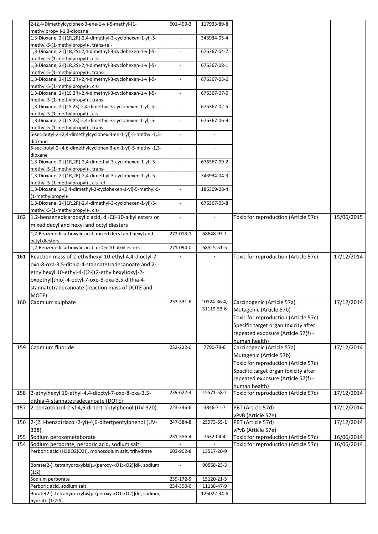|     | 2-(2,4-Dimethylcyclohex-3-ene-1-yl)-5-methyl-(1-                                                 | 601-499-3                | 117933-89-8    |                                             |            |
|-----|--------------------------------------------------------------------------------------------------|--------------------------|----------------|---------------------------------------------|------------|
|     | methylpropyl)-1,3-dioxane<br>1,3-Dioxane, 2-[(1R,2R)-2,4-dimethyl-3-cyclohexen-1-yl]-5-          | $\overline{\phantom{a}}$ | 343934-05-4    |                                             |            |
|     | methyl-5-(1-methylpropyl)-, trans-rel-                                                           |                          |                |                                             |            |
|     | 1,3-Dioxane, 2-[(1R,2S)-2,4-dimethyl-3-cyclohexen-1-yl]-5-                                       | $\overline{\phantom{a}}$ | 676367-04-7    |                                             |            |
|     | methyl-5-(1-methylpropyl)-, cis-                                                                 |                          |                |                                             |            |
|     | 1,3-Dioxane, 2-[(1R,2S)-2,4-dimethyl-3-cyclohexen-1-yl]-5-<br>methyl-5-(1-methylpropyl)-, trans- | $\overline{\phantom{a}}$ | 676367-08-1    |                                             |            |
|     | 1,3-Dioxane, 2-[(1S,2R)-2,4-dimethyl-3-cyclohexen-1-yl]-5-                                       | $\overline{\phantom{a}}$ | 676367-03-6    |                                             |            |
|     | methyl-5-(1-methylpropyl)-, cis-                                                                 |                          |                |                                             |            |
|     | 1,3-Dioxane, 2-[(1S,2R)-2,4-dimethyl-3-cyclohexen-1-yl]-5-                                       |                          | 676367-07-0    |                                             |            |
|     | methyl-5-(1-methylpropyl)-, trans-<br>1,3-Dioxane, 2-[(1S,2S)-2,4-dimethyl-3-cyclohexen-1-yl]-5- | $\overline{\phantom{a}}$ | 676367-02-5    |                                             |            |
|     | methyl-5-(1-methylpropyl)-, cis-                                                                 |                          |                |                                             |            |
|     | 1,3-Dioxane, 2-[(1S,2S)-2,4-dimethyl-3-cyclohexen-1-yl]-5-                                       | $\overline{\phantom{a}}$ | 676367-06-9    |                                             |            |
|     | methyl-5-(1-methylpropyl)-, trans-                                                               |                          |                |                                             |            |
|     | 5-sec-butyl-2-(2,4-dimethylcyclohex-3-en-1-yl)-5-methyl-1,3-                                     |                          |                |                                             |            |
|     | dioxane<br>5-sec-butyl-2-(4,6-dimethylcyclohex-3-en-1-yl)-5-methyl-1,3-                          | $\blacksquare$           | $\overline{a}$ |                                             |            |
|     | dioxane                                                                                          |                          |                |                                             |            |
|     | 1,3-Dioxane, 2-[(1R,2R)-2,4-dimethyl-3-cyclohexen-1-yl]-5-                                       | $\overline{\phantom{a}}$ | 676367-09-2    |                                             |            |
|     | methyl-5-(1-methylpropyl)-, trans-<br>1,3-Dioxane, 2-[(1R,2R)-2,4-dimethyl-3-cyclohexen-1-yl]-5- | $\overline{a}$           | 343934-04-3    |                                             |            |
|     | methyl-5-(1-methylpropyl)-, cis-rel-                                                             |                          |                |                                             |            |
|     | 1,3-Dioxane, 2-(2,4-dimethyl-3-cyclohexen-1-yl)-5-methyl-5-                                      | $\overline{\phantom{a}}$ | 186309-28-4    |                                             |            |
|     | (1-methylpropyl)-                                                                                |                          |                |                                             |            |
|     | 1,3-Dioxane, 2-[(1R,2R)-2,4-dimethyl-3-cyclohexen-1-yl]-5-                                       |                          | 676367-05-8    |                                             |            |
|     | methyl-5-(1-methylpropyl)-, cis-<br>162 1,2-benzenedicarboxylic acid, di-C6-10-alkyl esters or   | $\blacksquare$           |                | Toxic for reproduction (Article 57c)        | 15/06/2015 |
|     | mixed decyl and hexyl and octyl diesters                                                         |                          |                |                                             |            |
|     | 1,2-Benzenedicarboxylic acid, mixed decyl and hexyl and                                          | 272-013-1                | 68648-93-1     |                                             |            |
|     | octyl diesters                                                                                   |                          |                |                                             |            |
|     | 1,2-Benzenedicarboxylic acid, di-C6-10-alkyl esters                                              | 271-094-0                | 68515-51-5     |                                             |            |
| 161 | Reaction mass of 2-ethylhexyl 10-ethyl-4,4-dioctyl-7-                                            |                          |                | Toxic for reproduction (Article 57c)        | 17/12/2014 |
|     | oxo-8-oxa-3,5-dithia-4-stannatetradecanoate and 2-                                               |                          |                |                                             |            |
|     | ethylhexyl 10-ethyl-4-[[2-[(2-ethylhexyl)oxy]-2-                                                 |                          |                |                                             |            |
|     | oxoethyl]thio]-4-octyl-7-oxo-8-oxa-3,5-dithia-4-                                                 |                          |                |                                             |            |
|     | stannatetradecanoate (reaction mass of DOTE and<br>MOTE)                                         |                          |                |                                             |            |
|     | 160 Cadmium sulphate                                                                             | 233-331-6                | 10124-36-4,    | Carcinogenic (Article 57a)                  | 17/12/2014 |
|     |                                                                                                  |                          | 31119-53-6     | Mutagenic (Article 57b)                     |            |
|     |                                                                                                  |                          |                | Toxic for reproduction (Article 57c)        |            |
|     |                                                                                                  |                          |                | Specific target organ toxicity after        |            |
|     |                                                                                                  |                          |                | repeated exposure (Article 57(f) -          |            |
|     | Cadmium fluoride                                                                                 | 232-222-0                | 7790-79-6      | human health)<br>Carcinogenic (Article 57a) | 17/12/2014 |
| 159 |                                                                                                  |                          |                | Mutagenic (Article 57b)                     |            |
|     |                                                                                                  |                          |                | Toxic for reproduction (Article 57c)        |            |
|     |                                                                                                  |                          |                | Specific target organ toxicity after        |            |
|     |                                                                                                  |                          |                | repeated exposure (Article 57(f) -          |            |
|     |                                                                                                  |                          |                | human health)                               |            |
|     | 158 2-ethylhexyl 10-ethyl-4,4-dioctyl-7-oxo-8-oxa-3,5-                                           | 239-622-4                | 15571-58-1     | Toxic for reproduction (Article 57c)        | 17/12/2014 |
|     | dithia-4-stannatetradecanoate (DOTE)<br>157 2-benzotriazol-2-yl-4,6-di-tert-butylphenol (UV-320) | 223-346-6                | 3846-71-7      | PBT (Article 57d)                           | 17/12/2014 |
|     |                                                                                                  |                          |                | vPvB (Article 57e)                          |            |
|     | 156 2-(2H-benzotriazol-2-yl)-4,6-ditertpentylphenol (UV-                                         | 247-384-8                | 25973-55-1     | PBT (Article 57d)                           | 17/12/2014 |
|     | 328)                                                                                             |                          |                | vPvB (Article 57e)                          |            |
| 155 | Sodium peroxometaborate                                                                          | 231-556-4                | 7632-04-4      | Toxic for reproduction (Article 57c)        | 16/06/2014 |
|     | 154 Sodium perborate, perboric acid, sodium salt                                                 |                          |                | Toxic for reproduction (Article 57c)        | 16/06/2014 |
|     | Perboric acid (H3BO2(O2)), monosodium salt, trihydrate                                           | 603-902-8                | 13517-20-9     |                                             |            |
|     | Borate(2-), tetrahydroxybis[µ-(peroxy-KO1:KO2)]di-, sodium                                       |                          | 90568-23-3     |                                             |            |
|     | (1:2)                                                                                            |                          |                |                                             |            |
|     | Sodium perborate                                                                                 | 239-172-9                | 15120-21-5     |                                             |            |
|     | Perboric acid, sodium salt                                                                       | 234-390-0                | 11138-47-9     |                                             |            |
|     | Borate(2-), tetrahydroxybis[µ-(peroxy-kO1:kO2)]di-, sodium,<br>hydrate (1:2:6)                   |                          | 125022-34-6    |                                             |            |
|     |                                                                                                  |                          |                |                                             |            |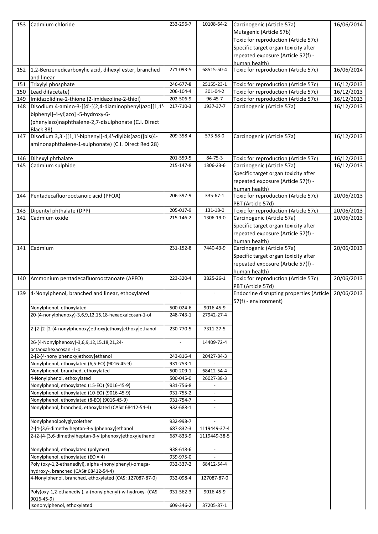| 153 | Cadmium chloride                                                                                                                                   | 233-296-7      | 10108-64-2               | Carcinogenic (Article 57a)<br>Mutagenic (Article 57b)<br>Toxic for reproduction (Article 57c)<br>Specific target organ toxicity after<br>repeated exposure (Article 57(f) -<br>human health) | 16/06/2014 |
|-----|----------------------------------------------------------------------------------------------------------------------------------------------------|----------------|--------------------------|----------------------------------------------------------------------------------------------------------------------------------------------------------------------------------------------|------------|
|     | 152 1,2-Benzenedicarboxylic acid, dihexyl ester, branched<br>and linear                                                                            | 271-093-5      | 68515-50-4               | Toxic for reproduction (Article 57c)                                                                                                                                                         | 16/06/2014 |
| 151 | Trixylyl phosphate                                                                                                                                 | 246-677-8      | 25155-23-1               | Toxic for reproduction (Article 57c)                                                                                                                                                         | 16/12/2013 |
| 150 | Lead di(acetate)                                                                                                                                   | 206-104-4      | 301-04-2                 | Toxic for reproduction (Article 57c)                                                                                                                                                         | 16/12/2013 |
| 149 | Imidazolidine-2-thione (2-imidazoline-2-thiol)                                                                                                     | 202-506-9      | 96-45-7                  | Toxic for reproduction (Article 57c)                                                                                                                                                         | 16/12/2013 |
| 148 | Disodium 4-amino-3-[[4'-[(2,4-diaminophenyl)azo][1,1'<br>biphenyl]-4-yl]azo] -5-hydroxy-6-<br>(phenylazo)naphthalene-2,7-disulphonate (C.I. Direct | 217-710-3      | 1937-37-7                | Carcinogenic (Article 57a)                                                                                                                                                                   | 16/12/2013 |
| 147 | Black 38)<br>Disodium 3,3'-[[1,1'-biphenyl]-4,4'-diylbis(azo)]bis(4-<br>aminonaphthalene-1-sulphonate) (C.I. Direct Red 28)                        | 209-358-4      | 573-58-0                 | Carcinogenic (Article 57a)                                                                                                                                                                   | 16/12/2013 |
| 146 | Dihexyl phthalate                                                                                                                                  | 201-559-5      | 84-75-3                  | Toxic for reproduction (Article 57c)                                                                                                                                                         | 16/12/2013 |
| 145 | Cadmium sulphide                                                                                                                                   | 215-147-8      | 1306-23-6                | Carcinogenic (Article 57a)                                                                                                                                                                   | 16/12/2013 |
|     |                                                                                                                                                    |                |                          | Specific target organ toxicity after<br>repeated exposure (Article 57(f) -<br>human health)                                                                                                  |            |
| 144 | Pentadecafluorooctanoic acid (PFOA)                                                                                                                | 206-397-9      | 335-67-1                 | Toxic for reproduction (Article 57c)<br>PBT (Article 57d)                                                                                                                                    | 20/06/2013 |
| 143 | Dipentyl phthalate (DPP)                                                                                                                           | 205-017-9      | 131-18-0                 | Toxic for reproduction (Article 57c)                                                                                                                                                         | 20/06/2013 |
| 142 | Cadmium oxide                                                                                                                                      | 215-146-2      | 1306-19-0                | Carcinogenic (Article 57a)<br>Specific target organ toxicity after<br>repeated exposure (Article 57(f) -<br>human health)                                                                    | 20/06/2013 |
| 141 | Cadmium                                                                                                                                            | 231-152-8      | 7440-43-9                | Carcinogenic (Article 57a)<br>Specific target organ toxicity after<br>repeated exposure (Article 57(f) -<br>human health)                                                                    | 20/06/2013 |
| 140 | Ammonium pentadecafluorooctanoate (APFO)                                                                                                           | 223-320-4      | 3825-26-1                | Toxic for reproduction (Article 57c)<br>PBT (Article 57d)                                                                                                                                    | 20/06/2013 |
| 139 | 4-Nonylphenol, branched and linear, ethoxylated                                                                                                    | $\overline{a}$ |                          | Endocrine disrupting properties (Article<br>57(f) - environment)                                                                                                                             | 20/06/2013 |
|     | Nonylphenol, ethoxylated                                                                                                                           | 500-024-6      | 9016-45-9                |                                                                                                                                                                                              |            |
|     | 20-(4-nonylphenoxy)-3,6,9,12,15,18-hexaoxaicosan-1-ol                                                                                              | 248-743-1      | 27942-27-4               |                                                                                                                                                                                              |            |
|     | 2-[2-[2-(4-nonylphenoxy)ethoxy]ethoxy]ethoxy]ethanol                                                                                               | 230-770-5      | 7311-27-5                |                                                                                                                                                                                              |            |
|     | 26-(4-Nonylphenoxy)-3,6,9,12,15,18,21,24-<br>octaoxahexacosan -1-ol                                                                                | $\overline{a}$ | 14409-72-4               |                                                                                                                                                                                              |            |
|     | 2-[2-(4-nonylphenoxy)ethoxy]ethanol                                                                                                                | 243-816-4      | 20427-84-3               |                                                                                                                                                                                              |            |
|     | Nonylphenol, ethoxylated (6,5-EO) (9016-45-9)                                                                                                      | 931-753-1      |                          |                                                                                                                                                                                              |            |
|     | Nonylphenol, branched, ethoxylated                                                                                                                 | 500-209-1      | 68412-54-4               |                                                                                                                                                                                              |            |
|     | 4-Nonylphenol, ethoxylated                                                                                                                         | 500-045-0      | 26027-38-3               |                                                                                                                                                                                              |            |
|     | Nonylphenol, ethoxylated (15-EO) (9016-45-9)                                                                                                       | 931-756-8      |                          |                                                                                                                                                                                              |            |
|     | Nonylphenol, ethoxylated (10-EO) (9016-45-9)                                                                                                       | 931-755-2      | $\overline{\phantom{a}}$ |                                                                                                                                                                                              |            |
|     | Nonylphenol, ethoxylated (8-EO) (9016-45-9)                                                                                                        | 931-754-7      | $\overline{\phantom{a}}$ |                                                                                                                                                                                              |            |
|     | Nonylphenol, branched, ethoxylated (CAS# 68412-54-4)                                                                                               | 932-688-1      |                          |                                                                                                                                                                                              |            |
|     | Nonylphenolpolyglycolether                                                                                                                         | 932-998-7      |                          |                                                                                                                                                                                              |            |
|     | 2-[4-(3,6-dimethylheptan-3-yl)phenoxy]ethanol                                                                                                      | 687-832-3      | 1119449-37-4             |                                                                                                                                                                                              |            |
|     | 2-{2-[4-(3,6-dimethylheptan-3-yl)phenoxy]ethoxy}ethanol                                                                                            | 687-833-9      | 1119449-38-5             |                                                                                                                                                                                              |            |
|     | Nonylphenol, ethoxylated (polymer)                                                                                                                 | 938-618-6      | $\overline{\phantom{a}}$ |                                                                                                                                                                                              |            |
|     | Nonylphenol, ethoxylated (EO = 4)                                                                                                                  | 939-975-0      |                          |                                                                                                                                                                                              |            |
|     | Poly (oxy-1,2-ethanediyl), alpha -(nonylphenyl)-omega-<br>hydroxy-, branched (CAS# 68412-54-4)                                                     | 932-337-2      | 68412-54-4               |                                                                                                                                                                                              |            |
|     | 4-Nonylphenol, branched, ethoxylated (CAS: 127087-87-0)                                                                                            | 932-098-4      | 127087-87-0              |                                                                                                                                                                                              |            |
|     | Poly(oxy-1,2-ethanediyl), a-(nonylphenyl)-w-hydroxy- (CAS<br>9016-45-9)                                                                            | 931-562-3      | 9016-45-9                |                                                                                                                                                                                              |            |
|     | Isononylphenol, ethoxylated                                                                                                                        | 609-346-2      | 37205-87-1               |                                                                                                                                                                                              |            |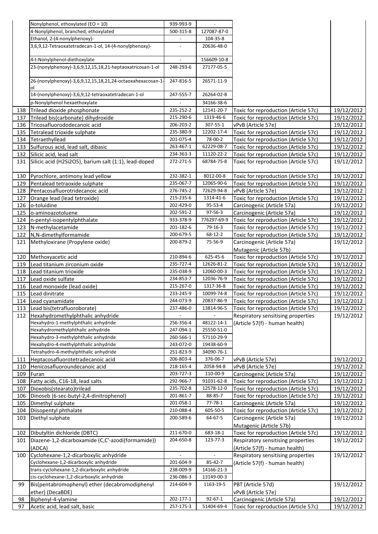|            | Nonylphenol, ethoxylated (EO = 10)                           | 939-993-9              |                        |                                                                              |                          |
|------------|--------------------------------------------------------------|------------------------|------------------------|------------------------------------------------------------------------------|--------------------------|
|            | 4-Nonylphenol, branched, ethoxylated                         | 500-315-8              | 127087-87-0            |                                                                              |                          |
|            | Ethanol, 2-(4-nonylphenoxy)-                                 |                        | 104-35-8               |                                                                              |                          |
|            | 3,6,9,12-Tetraoxatetradecan-1-ol, 14-(4-nonylphenoxy)-       |                        | 20636-48-0             |                                                                              |                          |
|            |                                                              |                        |                        |                                                                              |                          |
|            | 4-t-Nonylphenol-diethoxylate                                 |                        | 156609-10-8            |                                                                              |                          |
|            | 23-(nonylphenoxy)-3,6,9,12,15,18,21-heptaoxatricosan-1-ol    | 248-293-6              | 27177-05-5             |                                                                              |                          |
|            | 26-(nonylphenoxy)-3,6,9,12,15,18,21,24-octaoxahexacosan-1    | 247-816-5              | 26571-11-9             |                                                                              |                          |
|            |                                                              |                        |                        |                                                                              |                          |
|            | 14-(nonylphenoxy)-3,6,9,12-tetraoxatetradecan-1-ol           | 247-555-7              | 26264-02-8             |                                                                              |                          |
|            | p-Nonylphenol hexaethoxylate                                 |                        | 34166-38-6             |                                                                              |                          |
| 138        | Trilead dioxide phosphonate                                  | 235-252-2              | 12141-20-7             | Toxic for reproduction (Article 57c)                                         | 19/12/2012               |
| 137        | Trilead bis(carbonate) dihydroxide                           | 215-290-6              | 1319-46-6              | Toxic for reproduction (Article 57c)                                         | 19/12/2012               |
| 136        | Tricosafluorododecanoic acid                                 | 206-203-2              | 307-55-1               | vPvB (Article 57e)                                                           | 19/12/2012               |
| 135        | Tetralead trioxide sulphate                                  | 235-380-9              | 12202-17-4             | Toxic for reproduction (Article 57c)                                         | 19/12/2012               |
| 134        | Tetraethyllead                                               | 201-075-4              | 78-00-2                | Toxic for reproduction (Article 57c)                                         | 19/12/2012               |
| 133        | Sulfurous acid, lead salt, dibasic                           | 263-467-1              | 62229-08-7             | Toxic for reproduction (Article 57c)                                         | 19/12/2012               |
| 132        | Silicic acid, lead salt                                      | 234-363-3              | 11120-22-2             | Toxic for reproduction (Article 57c)                                         | 19/12/2012               |
| 131        | Silicic acid (H2Si2O5), barium salt (1:1), lead-doped        | 272-271-5              | 68784-75-8             | Toxic for reproduction (Article 57c)                                         | 19/12/2012               |
| 130        | Pyrochlore, antimony lead yellow                             | 232-382-1              | 8012-00-8              | Toxic for reproduction (Article 57c)                                         | 19/12/2012               |
| 129        | Pentalead tetraoxide sulphate                                | 235-067-7              | 12065-90-6             | Toxic for reproduction (Article 57c)                                         | 19/12/2012               |
| 128        | Pentacosafluorotridecanoic acid                              | 276-745-2              | 72629-94-8             | vPvB (Article 57e)                                                           | 19/12/2012               |
| 127        | Orange lead (lead tetroxide)                                 | 215-235-6              | 1314-41-6              | Toxic for reproduction (Article 57c)                                         | 19/12/2012               |
| 126        | o-toluidine                                                  | 202-429-0              | 95-53-4                | Carcinogenic (Article 57a)                                                   | 19/12/2012               |
| 125        | o-aminoazotoluene                                            | 202-591-2              | 97-56-3                | Carcinogenic (Article 57a)                                                   | 19/12/2012               |
| 124        | n-pentyl-isopentylphthalate                                  | 933-378-9              | 776297-69-9            | Toxic for reproduction (Article 57c)                                         | 19/12/2012               |
| 123        | N-methylacetamide                                            | 201-182-6              | 79-16-3                | Toxic for reproduction (Article 57c)                                         | 19/12/2012               |
| 122        | N,N-dimethylformamide                                        | 200-679-5              | 68-12-2                | Toxic for reproduction (Article 57c)                                         | 19/12/2012               |
| 121        | Methyloxirane (Propylene oxide)                              | 200-879-2              | 75-56-9                | Carcinogenic (Article 57a)                                                   | 19/12/2012               |
|            |                                                              |                        |                        | Mutagenic (Article 57b)                                                      |                          |
| 120        | Methoxyacetic acid                                           | 210-894-6              | 625-45-6               | Toxic for reproduction (Article 57c)                                         | 19/12/2012               |
| 119        | Lead titanium zirconium oxide                                | 235-727-4              | 12626-81-2             | Toxic for reproduction (Article 57c)                                         | 19/12/2012               |
| 118        | Lead titanium trioxide                                       | 235-038-9              | 12060-00-3             | Toxic for reproduction (Article 57c)                                         | 19/12/2012               |
| 117        | Lead oxide sulfate                                           | 234-853-7              | 12036-76-9             | Toxic for reproduction (Article 57c)                                         | 19/12/2012               |
| 116        | Lead monoxide (lead oxide)                                   | 215-267-0              | 1317-36-8              | Toxic for reproduction (Article 57c)                                         | 19/12/2012               |
| 115        | Lead dinitrate                                               | 233-245-9              | 10099-74-8             | Toxic for reproduction (Article 57c)                                         | 19/12/2012               |
| 114        | Lead cyanamidate                                             | 244-073-9              | 20837-86-9             | Toxic for reproduction (Article 57c)                                         | 19/12/2012               |
| 113        | Lead bis(tetrafluoroborate)                                  | 237-486-0              | 13814-96-5             | Toxic for reproduction (Article 57c)                                         | 19/12/2012               |
| 112        | Hexahydromethylphthalic anhydride                            |                        |                        | Respiratory sensitising properties                                           | 19/12/2012               |
|            | Hexahydro-1-methylphthalic anhydride                         | 256-356-4              | 48122-14-1             | (Article 57(f) - human health)                                               |                          |
|            | Hexahydromethylphthalic anhydride                            | 247-094-1              | 25550-51-0             |                                                                              |                          |
|            | Hexahydro-3-methylphthalic anhydride                         | 260-566-1              | 57110-29-9             |                                                                              |                          |
|            | Hexahydro-4-methylphthalic anhydride                         | 243-072-0              | 19438-60-9             |                                                                              |                          |
|            | Tetrahydro-4-methylphthalic anhydride                        | 251-823-9              | 34090-76-1             |                                                                              |                          |
| 111        | Heptacosafluorotetradecanoic acid                            | 206-803-4              | 376-06-7               | vPvB (Article 57e)                                                           | 19/12/2012               |
| 110        | Henicosafluoroundecanoic acid                                | 218-165-4              | 2058-94-8              | vPvB (Article 57e)                                                           | 19/12/2012               |
| 109        | Furan                                                        | 203-727-3<br>292-966-7 | 110-00-9<br>91031-62-8 | Carcinogenic (Article 57a)                                                   | 19/12/2012               |
| 108<br>107 | Fatty acids, C16-18, lead salts<br>Dioxobis(stearato)trilead | 235-702-8              | 12578-12-0             | Toxic for reproduction (Article 57c)<br>Toxic for reproduction (Article 57c) | 19/12/2012<br>19/12/2012 |
| 106        | Dinoseb (6-sec-butyl-2,4-dinitrophenol)                      | 201-861-7              | 88-85-7                | Toxic for reproduction (Article 57c)                                         | 19/12/2012               |
| 105        | Dimethyl sulphate                                            | 201-058-1              | $77 - 78 - 1$          | Carcinogenic (Article 57a)                                                   | 19/12/2012               |
| 104        | Diisopentyl phthalate                                        | 210-088-4              | 605-50-5               | Toxic for reproduction (Article 57c)                                         | 19/12/2012               |
| 103        | Diethyl sulphate                                             | 200-589-6              | 64-67-5                | Carcinogenic (Article 57a)                                                   | 19/12/2012               |
|            |                                                              |                        |                        | Mutagenic (Article 57b)                                                      |                          |
| 102        | Dibutyltin dichloride (DBTC)                                 | 211-670-0              | 683-18-1               | Toxic for reproduction (Article 57c)                                         | 19/12/2012               |
| 101        | Diazene-1,2-dicarboxamide (C,C'-azodi(formamide))            | 204-650-8              | 123-77-3               | Respiratory sensitising properties                                           | 19/12/2012               |
|            | (ADCA)                                                       |                        |                        | (Article 57(f) - human health)                                               |                          |
| 100        | Cyclohexane-1,2-dicarboxylic anhydride                       |                        |                        | Respiratory sensitising properties                                           | 19/12/2012               |
|            | Cyclohexane-1,2-dicarboxylic anhydride                       | 201-604-9              | 85-42-7                | (Article 57(f) - human health)                                               |                          |
|            | trans-cyclohexane-1,2-dicarboxylic anhydride                 | 238-009-9              | 14166-21-3             |                                                                              |                          |
|            | cis-cyclohexane-1,2-dicarboxylic anhydride                   | 236-086-3              | 13149-00-3             |                                                                              |                          |
| 99         | Bis(pentabromophenyl) ether (decabromodiphenyl               | 214-604-9              | 1163-19-5              | PBT (Article 57d)                                                            | 19/12/2012               |
|            | ether) (DecaBDE)                                             |                        |                        | vPvB (Article 57e)                                                           |                          |
| 98         | Biphenyl-4-ylamine                                           | 202-177-1              | $92 - 67 - 1$          | Carcinogenic (Article 57a)                                                   | 19/12/2012               |
| 97         | Acetic acid, lead salt, basic                                | 257-175-3              | 51404-69-4             | Toxic for reproduction (Article 57c)                                         | 19/12/2012               |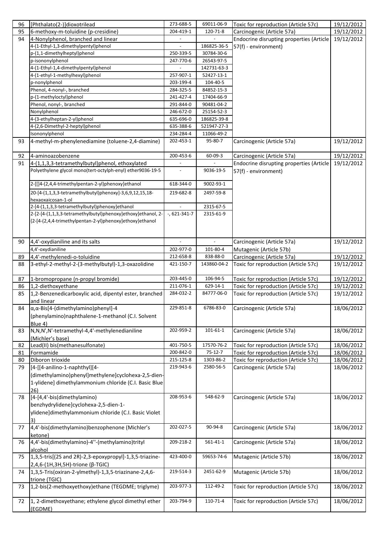| 96 | [Phthalato(2-)]dioxotrilead                                  | 273-688-5       | 69011-06-9     | Toxic for reproduction (Article 57c)     | 19/12/2012 |
|----|--------------------------------------------------------------|-----------------|----------------|------------------------------------------|------------|
| 95 | 6-methoxy-m-toluidine (p-cresidine)                          | 204-419-1       | 120-71-8       | Carcinogenic (Article 57a)               | 19/12/2012 |
| 94 | 4-Nonylphenol, branched and linear                           |                 |                | Endocrine disrupting properties (Article | 19/12/2012 |
|    | 4-(1-Ethyl-1,3-dimethylpentyl)phenol                         |                 | 186825-36-5    | 57(f) - environment)                     |            |
|    | p-(1,1-dimethylheptyl)phenol                                 | 250-339-5       | 30784-30-6     |                                          |            |
|    | p-isononylphenol                                             | 247-770-6       | 26543-97-5     |                                          |            |
|    | 4-(1-Ethyl-1,4-dimethylpentyl)phenol                         |                 | 142731-63-3    |                                          |            |
|    | 4-(1-ethyl-1-methylhexyl)phenol                              | 257-907-1       | 52427-13-1     |                                          |            |
|    | p-nonylphenol                                                | 203-199-4       | $104 - 40 - 5$ |                                          |            |
|    | Phenol, 4-nonyl-, branched                                   | 284-325-5       | 84852-15-3     |                                          |            |
|    | p-(1-methyloctyl)phenol                                      | 241-427-4       | 17404-66-9     |                                          |            |
|    | Phenol, nonyl-, branched                                     | 291-844-0       | 90481-04-2     |                                          |            |
|    | Nonylphenol                                                  | 246-672-0       | 25154-52-3     |                                          |            |
|    | 4-(3-ethylheptan-2-yl)phenol                                 | 635-696-0       | 186825-39-8    |                                          |            |
|    | 4-(2,6-Dimethyl-2-heptyl)phenol                              | 635-388-6       | 521947-27-3    |                                          |            |
|    | Isononylphenol                                               | 234-284-4       | 11066-49-2     |                                          |            |
| 93 | 4-methyl-m-phenylenediamine (toluene-2,4-diamine)            | 202-453-1       | 95-80-7        | Carcinogenic (Article 57a)               | 19/12/2012 |
| 92 | 4-aminoazobenzene                                            | 200-453-6       | 60-09-3        | Carcinogenic (Article 57a)               | 19/12/2012 |
| 91 | 4-(1,1,3,3-tetramethylbutyl)phenol, ethoxylated              |                 |                | Endocrine disrupting properties (Article | 19/12/2012 |
|    | Polyethylene glycol mono(tert-octylph-enyl) ether9036-19-5   |                 | 9036-19-5      | 57(f) - environment)                     |            |
|    |                                                              |                 |                |                                          |            |
|    | 2-[[]4-(2,4,4-trimethylpentan-2-yl)phenoxy]ethanol           | 618-344-0       | 9002-93-1      |                                          |            |
|    | 20-[4-(1,1,3,3-tetramethylbutyl)phenoxy]-3,6,9,12,15,18-     | 219-682-8       | 2497-59-8      |                                          |            |
|    | hexaoxaicosan-1-ol                                           |                 |                |                                          |            |
|    | 2-[4-(1,1,3,3-tetramethylbutyl)phenoxy]ethanol               |                 | 2315-67-5      |                                          |            |
|    | 2-[2-[4-(1,1,3,3-tetramethylbutyl)phenoxy]ethoxy]ethanol, 2- | $-$ , 621-341-7 | 2315-61-9      |                                          |            |
|    | {2-[4-(2,4,4-trimethylpentan-2-yl)phenoxy]ethoxy}ethanol     |                 |                |                                          |            |
|    |                                                              |                 |                |                                          |            |
|    |                                                              |                 |                |                                          |            |
| 90 | 4,4'-oxydianiline and its salts                              |                 | $\equiv$       | Carcinogenic (Article 57a)               | 19/12/2012 |
|    | 4,4'-oxydianiline                                            | 202-977-0       | 101-80-4       | Mutagenic (Article 57b)                  |            |
| 89 | 4,4'-methylenedi-o-toluidine                                 | 212-658-8       | 838-88-0       | Carcinogenic (Article 57a)               | 19/12/2012 |
| 88 | 3-ethyl-2-methyl-2-(3-methylbutyl)-1,3-oxazolidine           | 421-150-7       | 143860-04-2    | Toxic for reproduction (Article 57c)     | 19/12/2012 |
|    |                                                              |                 |                |                                          |            |
| 87 | 1-bromopropane (n-propyl bromide)                            | 203-445-0       | 106-94-5       | Toxic for reproduction (Article 57c)     | 19/12/2012 |
| 86 | 1,2-diethoxyethane                                           | 211-076-1       | 629-14-1       | Toxic for reproduction (Article 57c)     | 19/12/2012 |
| 85 | 1,2-Benzenedicarboxylic acid, dipentyl ester, branched       | 284-032-2       | 84777-06-0     | Toxic for reproduction (Article 57c)     | 19/12/2012 |
|    | and linear                                                   |                 |                |                                          |            |
| 84 | $\alpha, \alpha$ -Bis[4-(dimethylamino)phenyl]-4             | 229-851-8       | 6786-83-0      | Carcinogenic (Article 57a)               | 18/06/2012 |
|    | (phenylamino)naphthalene-1-methanol (C.I. Solvent            |                 |                |                                          |            |
|    | Blue 4)                                                      |                 |                |                                          |            |
| 83 | N,N,N',N'-tetramethyl-4,4'-methylenedianiline                | 202-959-2       | $101 - 61 - 1$ | Carcinogenic (Article 57a)               | 18/06/2012 |
|    | (Michler's base)                                             |                 |                |                                          |            |
| 82 | Lead(II) bis(methanesulfonate)                               | 401-750-5       | 17570-76-2     | Toxic for reproduction (Article 57c)     | 18/06/2012 |
| 81 | Formamide                                                    | 200-842-0       | $75-12-7$      | Toxic for reproduction (Article 57c)     | 18/06/2012 |
| 80 | Diboron trioxide                                             | 215-125-8       | 1303-86-2      | Toxic for reproduction (Article 57c)     | 18/06/2012 |
| 79 | [4-[[4-anilino-1-naphthyl][4-                                | 219-943-6       | 2580-56-5      | Carcinogenic (Article 57a)               | 18/06/2012 |
|    | (dimethylamino)phenyl]methylene]cyclohexa-2,5-dien-          |                 |                |                                          |            |
|    | 1-ylidene] dimethylammonium chloride (C.I. Basic Blue        |                 |                |                                          |            |
|    | 26)                                                          |                 |                |                                          |            |
| 78 | [4-[4,4'-bis(dimethylamino)                                  | 208-953-6       | 548-62-9       | Carcinogenic (Article 57a)               | 18/06/2012 |
|    | benzhydrylidene]cyclohexa-2,5-dien-1-                        |                 |                |                                          |            |
|    | ylidene]dimethylammonium chloride (C.I. Basic Violet         |                 |                |                                          |            |
|    | 3)                                                           |                 |                |                                          |            |
| 77 | 4,4'-bis(dimethylamino)benzophenone (Michler's               | 202-027-5       | 90-94-8        | Carcinogenic (Article 57a)               | 18/06/2012 |
|    | ketone)                                                      |                 |                |                                          |            |
| 76 | 4,4'-bis(dimethylamino)-4"-(methylamino)trityl               | 209-218-2       | 561-41-1       | Carcinogenic (Article 57a)               | 18/06/2012 |
|    | alcohol                                                      |                 |                |                                          |            |
| 75 | 1,3,5-tris[(2S and 2R)-2,3-epoxypropyl]-1,3,5-triazine-      | 423-400-0       | 59653-74-6     | Mutagenic (Article 57b)                  | 18/06/2012 |
|    | 2,4,6-(1H,3H,5H)-trione (β-TGIC)                             |                 |                |                                          |            |
| 74 | 1,3,5-Tris(oxiran-2-ylmethyl)-1,3,5-triazinane-2,4,6-        | 219-514-3       | 2451-62-9      | Mutagenic (Article 57b)                  | 18/06/2012 |
|    | trione (TGIC)                                                |                 |                |                                          |            |
| 73 | 1,2-bis(2-methoxyethoxy)ethane (TEGDME; triglyme)            | 203-977-3       | 112-49-2       | Toxic for reproduction (Article 57c)     | 18/06/2012 |
|    |                                                              |                 |                |                                          |            |
| 72 | 1, 2-dimethoxyethane; ethylene glycol dimethyl ether         | 203-794-9       | 110-71-4       | Toxic for reproduction (Article 57c)     | 18/06/2012 |
|    | (EGDME)                                                      |                 |                |                                          |            |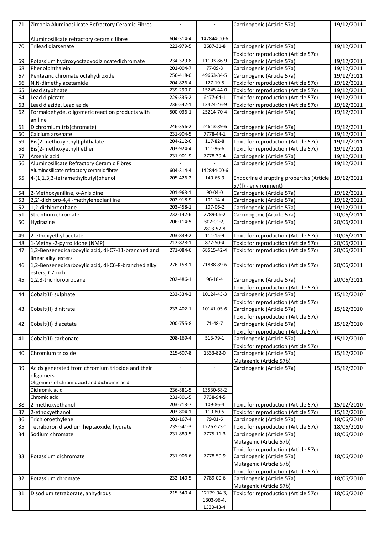| 71       | Zirconia Aluminosilicate Refractory Ceramic Fibres                         | $\overline{a}$ |                          | Carcinogenic (Article 57a)                                         | 19/12/2011               |
|----------|----------------------------------------------------------------------------|----------------|--------------------------|--------------------------------------------------------------------|--------------------------|
|          |                                                                            |                |                          |                                                                    |                          |
|          | Aluminosilicate refractory ceramic fibres                                  | 604-314-4      | 142844-00-6              |                                                                    |                          |
| 70       | Trilead diarsenate                                                         | 222-979-5      | 3687-31-8                | Carcinogenic (Article 57a)<br>Toxic for reproduction (Article 57c) | 19/12/2011               |
| 69       | Potassium hydroxyoctaoxodizincatedichromate                                | 234-329-8      | 11103-86-9               | Carcinogenic (Article 57a)                                         | 19/12/2011               |
| 68       | Phenolphthalein                                                            | 201-004-7      | 77-09-8                  | Carcinogenic (Article 57a)                                         | 19/12/2011               |
| 67       | Pentazinc chromate octahydroxide                                           | 256-418-0      | 49663-84-5               | Carcinogenic (Article 57a)                                         | 19/12/2011               |
| 66       | N,N-dimethylacetamide                                                      | 204-826-4      | 127-19-5                 | Toxic for reproduction (Article 57c)                               | 19/12/2011               |
| 65       | Lead styphnate                                                             | 239-290-0      | 15245-44-0               | Toxic for reproduction (Article 57c)                               | 19/12/2011               |
| 64       | Lead dipicrate                                                             | 229-335-2      | 6477-64-1                | Toxic for reproduction (Article 57c)                               | 19/12/2011               |
| 63       | Lead diazide, Lead azide                                                   | 236-542-1      | 13424-46-9               | Toxic for reproduction (Article 57c)                               | 19/12/2011               |
| 62       | Formaldehyde, oligomeric reaction products with<br>aniline                 | 500-036-1      | 25214-70-4               | Carcinogenic (Article 57a)                                         | 19/12/2011               |
| 61       | Dichromium tris(chromate)                                                  | 246-356-2      | 24613-89-6               | Carcinogenic (Article 57a)                                         | 19/12/2011               |
| 60       | Calcium arsenate                                                           | 231-904-5      | 7778-44-1                | Carcinogenic (Article 57a)                                         | 19/12/2011               |
| 59       | Bis(2-methoxyethyl) phthalate                                              | 204-212-6      | 117-82-8                 | Toxic for reproduction (Article 57c)                               | 19/12/2011               |
| 58       | Bis(2-methoxyethyl) ether                                                  | 203-924-4      | 111-96-6                 | Toxic for reproduction (Article 57c)                               | 19/12/2011               |
| 57       | Arsenic acid                                                               | 231-901-9      | 7778-39-4                | Carcinogenic (Article 57a)                                         | 19/12/2011               |
| 56       | Aluminosilicate Refractory Ceramic Fibres                                  |                |                          | Carcinogenic (Article 57a)                                         | 19/12/2011               |
|          | Aluminosilicate refractory ceramic fibres                                  | 604-314-4      | 142844-00-6              |                                                                    |                          |
| 55       | 4-(1,1,3,3-tetramethylbutyl)phenol                                         | 205-426-2      | 140-66-9                 | Endocrine disrupting properties (Article                           | 19/12/2011               |
|          |                                                                            | 201-963-1      | 90-04-0                  | 57(f) - environment)                                               |                          |
| 54<br>53 | 2-Methoxyaniline, o-Anisidine<br>2,2'-dichloro-4,4'-methylenedianiline     | 202-918-9      | 101-14-4                 | Carcinogenic (Article 57a)<br>Carcinogenic (Article 57a)           | 19/12/2011<br>19/12/2011 |
| 52       | 1,2-dichloroethane                                                         | 203-458-1      | 107-06-2                 | Carcinogenic (Article 57a)                                         | 19/12/2011               |
| 51       | Strontium chromate                                                         | 232-142-6      | 7789-06-2                | Carcinogenic (Article 57a)                                         | 20/06/2011               |
| 50       | Hydrazine                                                                  | 206-114-9      | 302-01-2,                | Carcinogenic (Article 57a)                                         | 20/06/2011               |
|          |                                                                            |                | 7803-57-8                |                                                                    |                          |
| 49       | 2-ethoxyethyl acetate                                                      | 203-839-2      | 111-15-9                 | Toxic for reproduction (Article 57c)                               | 20/06/2011               |
| 48       | 1-Methyl-2-pyrrolidone (NMP)                                               | 212-828-1      | 872-50-4                 | Toxic for reproduction (Article 57c)                               | 20/06/2011               |
| 47       | 1,2-Benzenedicarboxylic acid, di-C7-11-branched and<br>linear alkyl esters | 271-084-6      | 68515-42-4               | Toxic for reproduction (Article 57c)                               | 20/06/2011               |
| 46       | 1,2-Benzenedicarboxylic acid, di-C6-8-branched alkyl<br>esters, C7-rich    | 276-158-1      | 71888-89-6               | Toxic for reproduction (Article 57c)                               | 20/06/2011               |
| 45       | 1,2,3-trichloropropane                                                     | 202-486-1      | 96-18-4                  | Carcinogenic (Article 57a)<br>Toxic for reproduction (Article 57c) | 20/06/2011               |
| 44       | Cobalt(II) sulphate                                                        | 233-334-2      | 10124-43-3               | Carcinogenic (Article 57a)<br>Toxic for reproduction (Article 57c) | 15/12/2010               |
| 43       | Cobalt(II) dinitrate                                                       | 233-402-1      | 10141-05-6               | Carcinogenic (Article 57a)<br>Toxic for reproduction (Article 57c) | 15/12/2010               |
| 42       | Cobalt(II) diacetate                                                       | 200-755-8      | 71-48-7                  | Carcinogenic (Article 57a)                                         | 15/12/2010               |
|          |                                                                            |                |                          | Toxic for reproduction (Article 57c)                               |                          |
| 41       | Cobalt(II) carbonate                                                       | 208-169-4      | 513-79-1                 | Carcinogenic (Article 57a)                                         | 15/12/2010               |
|          |                                                                            |                |                          | Toxic for reproduction (Article 57c)                               |                          |
| 40       | Chromium trioxide                                                          | 215-607-8      | 1333-82-0                | Carcinogenic (Article 57a)                                         | 15/12/2010               |
|          |                                                                            |                |                          | Mutagenic (Article 57b)                                            |                          |
| 39       | Acids generated from chromium trioxide and their<br>oligomers              | $\overline{a}$ | $\overline{\phantom{m}}$ | Carcinogenic (Article 57a)                                         | 15/12/2010               |
|          | Oligomers of chromic acid and dichromic acid                               | $\overline{a}$ | $\overline{\phantom{a}}$ |                                                                    |                          |
|          | Dichromic acid                                                             | 236-881-5      | 13530-68-2               |                                                                    |                          |
|          | Chromic acid                                                               | 231-801-5      | 7738-94-5                |                                                                    |                          |
| 38       | 2-methoxyethanol                                                           | 203-713-7      | 109-86-4                 | Toxic for reproduction (Article 57c)                               | 15/12/2010               |
| 37       | 2-ethoxyethanol                                                            | 203-804-1      | 110-80-5                 | Toxic for reproduction (Article 57c)                               | 15/12/2010               |
| 36       | Trichloroethylene                                                          | 201-167-4      | 79-01-6                  | Carcinogenic (Article 57a)                                         | 18/06/2010               |
| 35       | Tetraboron disodium heptaoxide, hydrate                                    | 235-541-3      | 12267-73-1               | Toxic for reproduction (Article 57c)                               | 18/06/2010               |
| 34       | Sodium chromate                                                            | 231-889-5      | 7775-11-3                | Carcinogenic (Article 57a)<br>Mutagenic (Article 57b)              | 18/06/2010               |
| 33       | Potassium dichromate                                                       | 231-906-6      | 7778-50-9                | Toxic for reproduction (Article 57c)<br>Carcinogenic (Article 57a) | 18/06/2010               |
|          |                                                                            |                |                          | Mutagenic (Article 57b)<br>Toxic for reproduction (Article 57c)    |                          |
| 32       | Potassium chromate                                                         | 232-140-5      | 7789-00-6                | Carcinogenic (Article 57a)<br>Mutagenic (Article 57b)              | 18/06/2010               |
| 31       | Disodium tetraborate, anhydrous                                            | 215-540-4      | 12179-04-3,              | Toxic for reproduction (Article 57c)                               | 18/06/2010               |
|          |                                                                            |                | 1303-96-4,               |                                                                    |                          |
|          |                                                                            |                | 1330-43-4                |                                                                    |                          |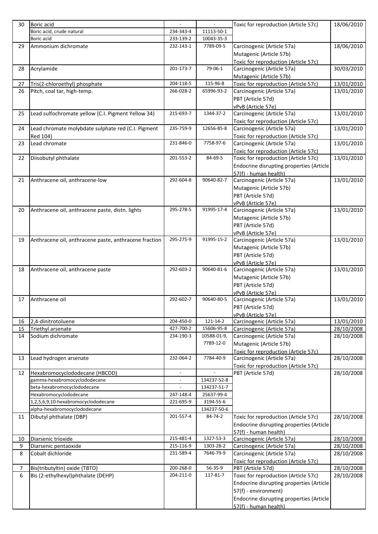| 30                  | Boric acid                                                          |                          | $\blacksquare$ | Toxic for reproduction (Article 57c)                      | 18/06/2010               |
|---------------------|---------------------------------------------------------------------|--------------------------|----------------|-----------------------------------------------------------|--------------------------|
|                     | Boric acid, crude natural                                           | 234-343-4                | 11113-50-1     |                                                           |                          |
|                     | Boric acid                                                          | 233-139-2                | 10043-35-3     |                                                           |                          |
| 29                  | Ammonium dichromate                                                 | 232-143-1                | 7789-09-5      | Carcinogenic (Article 57a)                                | 18/06/2010               |
|                     |                                                                     |                          |                | Mutagenic (Article 57b)                                   |                          |
|                     |                                                                     |                          |                | Toxic for reproduction (Article 57c)                      |                          |
| 28                  | Acrylamide                                                          | 201-173-7                | 79-06-1        | Carcinogenic (Article 57a)                                | 30/03/2010               |
|                     |                                                                     |                          |                | Mutagenic (Article 57b)                                   |                          |
| 27                  | Tris(2-chloroethyl) phosphate                                       | 204-118-5                | 115-96-8       | Toxic for reproduction (Article 57c)                      | 13/01/2010               |
| 26                  | Pitch, coal tar, high-temp.                                         | 266-028-2                | 65996-93-2     | Carcinogenic (Article 57a)                                | 13/01/2010               |
|                     |                                                                     |                          |                | PBT (Article 57d)                                         |                          |
|                     |                                                                     |                          |                | vPvB (Article 57e)                                        |                          |
| 25                  | Lead sulfochromate yellow (C.I. Pigment Yellow 34)                  | 215-693-7                | 1344-37-2      | Carcinogenic (Article 57a)                                | 13/01/2010               |
|                     |                                                                     |                          |                | Toxic for reproduction (Article 57c)                      |                          |
| 24                  | Lead chromate molybdate sulphate red (C.I. Pigment                  | 235-759-9                | 12656-85-8     | Carcinogenic (Article 57a)                                | 13/01/2010               |
|                     | Red 104)                                                            |                          |                | Toxic for reproduction (Article 57c)                      |                          |
| 23                  | Lead chromate                                                       | 231-846-0                | 7758-97-6      | Carcinogenic (Article 57a)                                | 13/01/2010               |
|                     |                                                                     |                          |                | Toxic for reproduction (Article 57c)                      |                          |
| 22                  | Diisobutyl phthalate                                                | 201-553-2                | 84-69-5        | Toxic for reproduction (Article 57c)                      | 13/01/2010               |
|                     |                                                                     |                          |                | Endocrine disrupting properties (Article                  |                          |
|                     |                                                                     | 292-604-8                | 90640-82-7     | 57(f) - human health)                                     |                          |
| 21                  | Anthracene oil, anthracene-low                                      |                          |                | Carcinogenic (Article 57a)                                | 13/01/2010               |
|                     |                                                                     |                          |                | Mutagenic (Article 57b)                                   |                          |
|                     |                                                                     |                          |                | PBT (Article 57d)                                         |                          |
|                     |                                                                     |                          |                | vPvB (Article 57e)                                        |                          |
| 20                  | Anthracene oil, anthracene paste, distn. lights                     | 295-278-5                | 91995-17-4     | Carcinogenic (Article 57a)                                | 13/01/2010               |
|                     |                                                                     |                          |                | Mutagenic (Article 57b)                                   |                          |
|                     |                                                                     |                          |                | PBT (Article 57d)                                         |                          |
|                     |                                                                     | 295-275-9                | 91995-15-2     | vPvB (Article 57e)                                        |                          |
| 19                  | Anthracene oil, anthracene paste, anthracene fraction               |                          |                | Carcinogenic (Article 57a)                                | 13/01/2010               |
|                     |                                                                     |                          |                | Mutagenic (Article 57b)                                   |                          |
|                     |                                                                     |                          |                | PBT (Article 57d)                                         |                          |
| 18                  | Anthracene oil, anthracene paste                                    | 292-603-2                | 90640-81-6     | vPvB (Article 57e)<br>Carcinogenic (Article 57a)          | 13/01/2010               |
|                     |                                                                     |                          |                |                                                           |                          |
|                     |                                                                     |                          |                | Mutagenic (Article 57b)<br>PBT (Article 57d)              |                          |
|                     |                                                                     |                          |                |                                                           |                          |
| 17                  | Anthracene oil                                                      | 292-602-7                | 90640-80-5     | vPvB (Article 57e)<br>Carcinogenic (Article 57a)          | 13/01/2010               |
|                     |                                                                     |                          |                | PBT (Article 57d)                                         |                          |
|                     |                                                                     |                          |                | vPvB (Article 57e)                                        |                          |
| 16                  | 2,4-dinitrotoluene                                                  | 204-450-0                | 121-14-2       | Carcinogenic (Article 57a)                                | 13/01/2010               |
| 15                  | Triethyl arsenate                                                   | 427-700-2                | 15606-95-8     | Carcinogenic (Article 57a)                                | 28/10/2008               |
| 14                  | Sodium dichromate                                                   | 234-190-3                | 10588-01-9,    | Carcinogenic (Article 57a)                                | 28/10/2008               |
|                     |                                                                     |                          | 7789-12-0      | Mutagenic (Article 57b)                                   |                          |
|                     |                                                                     |                          |                | Toxic for reproduction (Article 57c)                      |                          |
| 13                  | Lead hydrogen arsenate                                              | 232-064-2                | 7784-40-9      | Carcinogenic (Article 57a)                                | 28/10/2008               |
|                     |                                                                     |                          |                | Toxic for reproduction (Article 57c)                      |                          |
| 12                  | Hexabromocyclododecane (HBCDD)                                      | $\overline{\phantom{0}}$ |                | PBT (Article 57d)                                         | 28/10/2008               |
|                     | gamma-hexabromocyclododecane                                        | $\overline{a}$           | 134237-52-8    |                                                           |                          |
|                     | beta-hexabromocyclododecane                                         | $\overline{a}$           | 134237-51-7    |                                                           |                          |
|                     | Hexabromocyclododecane                                              | 247-148-4                | 25637-99-4     |                                                           |                          |
|                     | 1,2,5,6,9,10-hexabromocyclododecane                                 | 221-695-9                | 3194-55-6      |                                                           |                          |
|                     | alpha-hexabromocyclododecane                                        |                          | 134237-50-6    |                                                           |                          |
| 11                  | Dibutyl phthalate (DBP)                                             | 201-557-4                | 84-74-2        | Toxic for reproduction (Article 57c)                      | 28/10/2008               |
|                     |                                                                     |                          |                | Endocrine disrupting properties (Article                  |                          |
|                     |                                                                     |                          |                | 57(f) - human health)                                     |                          |
| 10                  | Diarsenic trioxide                                                  | 215-481-4                | 1327-53-3      | Carcinogenic (Article 57a)                                | 28/10/2008               |
| 9                   | Diarsenic pentaoxide                                                | 215-116-9                | 1303-28-2      | Carcinogenic (Article 57a)                                | 28/10/2008               |
| 8                   | Cobalt dichloride                                                   | 231-589-4                | 7646-79-9      | Carcinogenic (Article 57a)                                | 28/10/2008               |
|                     |                                                                     | 200-268-0                | 56-35-9        | Toxic for reproduction (Article 57c)                      |                          |
| $\overline{7}$<br>6 | Bis(tributyltin) oxide (TBTO)<br>Bis (2-ethylhexyl)phthalate (DEHP) | 204-211-0                | 117-81-7       | PBT (Article 57d)<br>Toxic for reproduction (Article 57c) | 28/10/2008<br>28/10/2008 |
|                     |                                                                     |                          |                | Endocrine disrupting properties (Article                  |                          |
|                     |                                                                     |                          |                |                                                           |                          |
|                     |                                                                     |                          |                | 57(f) - environment)                                      |                          |
|                     |                                                                     |                          |                | Endocrine disrupting properties (Article                  |                          |
|                     |                                                                     |                          |                | 57(f) - human health)                                     |                          |